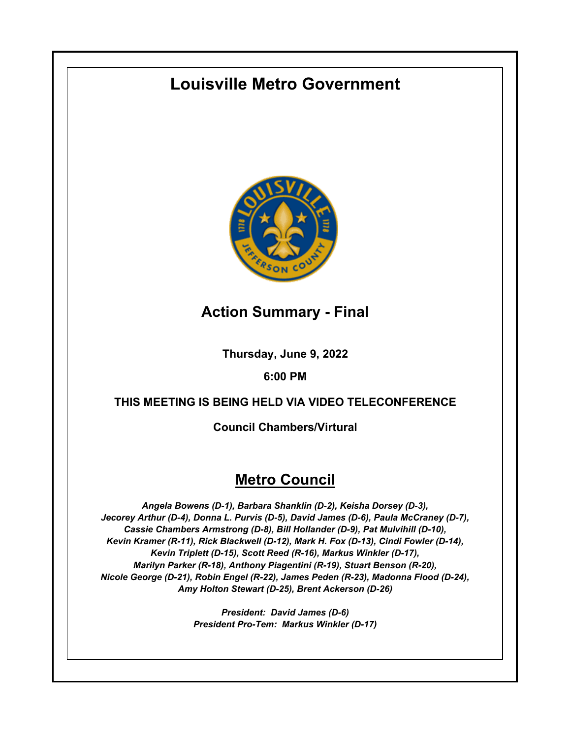# **Louisville Metro Government**



# **Action Summary - Final**

**Thursday, June 9, 2022**

# **6:00 PM**

# **THIS MEETING IS BEING HELD VIA VIDEO TELECONFERENCE**

**Council Chambers/Virtural**

# **Metro Council**

*Angela Bowens (D-1), Barbara Shanklin (D-2), Keisha Dorsey (D-3), Jecorey Arthur (D-4), Donna L. Purvis (D-5), David James (D-6), Paula McCraney (D-7), Cassie Chambers Armstrong (D-8), Bill Hollander (D-9), Pat Mulvihill (D-10), Kevin Kramer (R-11), Rick Blackwell (D-12), Mark H. Fox (D-13), Cindi Fowler (D-14), Kevin Triplett (D-15), Scott Reed (R-16), Markus Winkler (D-17), Marilyn Parker (R-18), Anthony Piagentini (R-19), Stuart Benson (R-20), Nicole George (D-21), Robin Engel (R-22), James Peden (R-23), Madonna Flood (D-24), Amy Holton Stewart (D-25), Brent Ackerson (D-26)*

> *President: David James (D-6) President Pro-Tem: Markus Winkler (D-17)*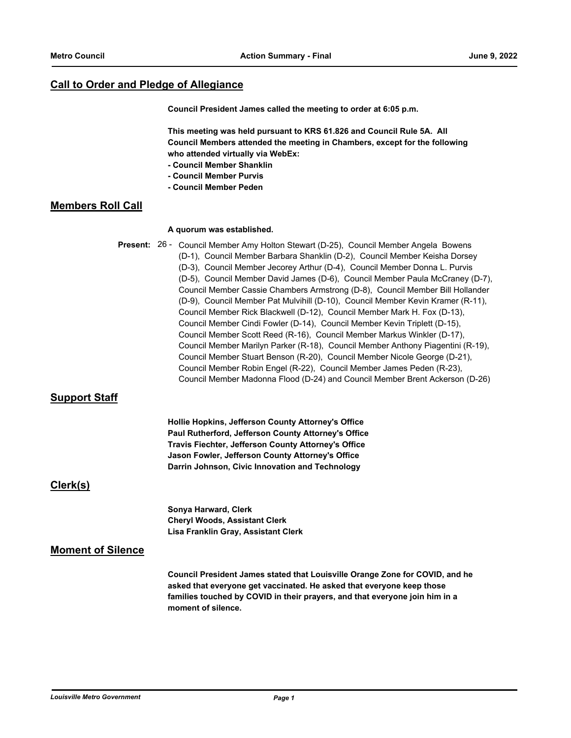# **Call to Order and Pledge of Allegiance**

**Council President James called the meeting to order at 6:05 p.m.**

**This meeting was held pursuant to KRS 61.826 and Council Rule 5A. All Council Members attended the meeting in Chambers, except for the following who attended virtually via WebEx:**

- **Council Member Shanklin**
- **Council Member Purvis**
- **Council Member Peden**

# **Members Roll Call**

#### **A quorum was established.**

Present: 26 - Council Member Amy Holton Stewart (D-25), Council Member Angela Bowens (D-1), Council Member Barbara Shanklin (D-2), Council Member Keisha Dorsey (D-3), Council Member Jecorey Arthur (D-4), Council Member Donna L. Purvis (D-5), Council Member David James (D-6), Council Member Paula McCraney (D-7), Council Member Cassie Chambers Armstrong (D-8), Council Member Bill Hollander (D-9), Council Member Pat Mulvihill (D-10), Council Member Kevin Kramer (R-11), Council Member Rick Blackwell (D-12), Council Member Mark H. Fox (D-13), Council Member Cindi Fowler (D-14), Council Member Kevin Triplett (D-15), Council Member Scott Reed (R-16), Council Member Markus Winkler (D-17), Council Member Marilyn Parker (R-18), Council Member Anthony Piagentini (R-19), Council Member Stuart Benson (R-20), Council Member Nicole George (D-21), Council Member Robin Engel (R-22), Council Member James Peden (R-23), Council Member Madonna Flood (D-24) and Council Member Brent Ackerson (D-26)

# **Support Staff**

**Hollie Hopkins, Jefferson County Attorney's Office Paul Rutherford, Jefferson County Attorney's Office Travis Fiechter, Jefferson County Attorney's Office Jason Fowler, Jefferson County Attorney's Office Darrin Johnson, Civic Innovation and Technology**

# **Clerk(s)**

**Sonya Harward, Clerk Cheryl Woods, Assistant Clerk Lisa Franklin Gray, Assistant Clerk**

# **Moment of Silence**

**Council President James stated that Louisville Orange Zone for COVID, and he asked that everyone get vaccinated. He asked that everyone keep those families touched by COVID in their prayers, and that everyone join him in a moment of silence.**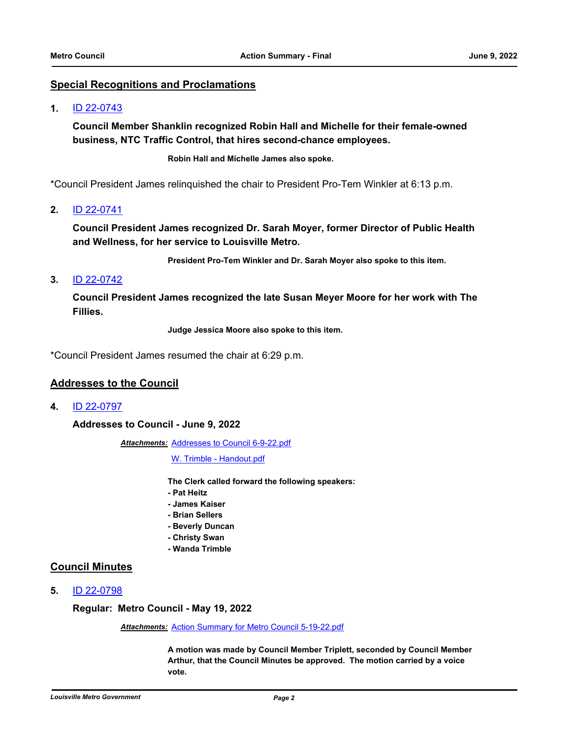### **Special Recognitions and Proclamations**

#### **1.** [ID 22-0743](http://louisville.legistar.com/gateway.aspx?m=l&id=/matter.aspx?key=60349)

**Council Member Shanklin recognized Robin Hall and Michelle for their female-owned business, NTC Traffic Control, that hires second-chance employees.**

**Robin Hall and Michelle James also spoke.**

\*Council President James relinquished the chair to President Pro-Tem Winkler at 6:13 p.m.

**2.** [ID 22-0741](http://louisville.legistar.com/gateway.aspx?m=l&id=/matter.aspx?key=60347)

**Council President James recognized Dr. Sarah Moyer, former Director of Public Health and Wellness, for her service to Louisville Metro.**

**President Pro-Tem Winkler and Dr. Sarah Moyer also spoke to this item.**

# **3.** [ID 22-0742](http://louisville.legistar.com/gateway.aspx?m=l&id=/matter.aspx?key=60348)

**Council President James recognized the late Susan Meyer Moore for her work with The Fillies.**

**Judge Jessica Moore also spoke to this item.**

\*Council President James resumed the chair at 6:29 p.m.

#### **Addresses to the Council**

**4.** [ID 22-0797](http://louisville.legistar.com/gateway.aspx?m=l&id=/matter.aspx?key=60667)

**Addresses to Council - June 9, 2022**

Attachments: [Addresses to Council 6-9-22.pdf](http://louisville.legistar.com/gateway.aspx?M=F&ID=0ffd4788-5f32-48bf-b403-1d904e542ce9.pdf)

[W. Trimble - Handout.pdf](http://louisville.legistar.com/gateway.aspx?M=F&ID=bff0c835-8fcd-4d78-be00-35aa46722a90.pdf)

**The Clerk called forward the following speakers:**

- **Pat Heitz**
- **James Kaiser**
- **Brian Sellers**
- **Beverly Duncan**
- **Christy Swan**
- **Wanda Trimble**

#### **Council Minutes**

**5.** [ID 22-0798](http://louisville.legistar.com/gateway.aspx?m=l&id=/matter.aspx?key=60668)

**Regular: Metro Council - May 19, 2022**

*Attachments:* [Action Summary for Metro Council 5-19-22.pdf](http://louisville.legistar.com/gateway.aspx?M=F&ID=b2b52082-d5e4-4c4d-85d3-701f1f93606e.pdf)

**A motion was made by Council Member Triplett, seconded by Council Member Arthur, that the Council Minutes be approved. The motion carried by a voice vote.**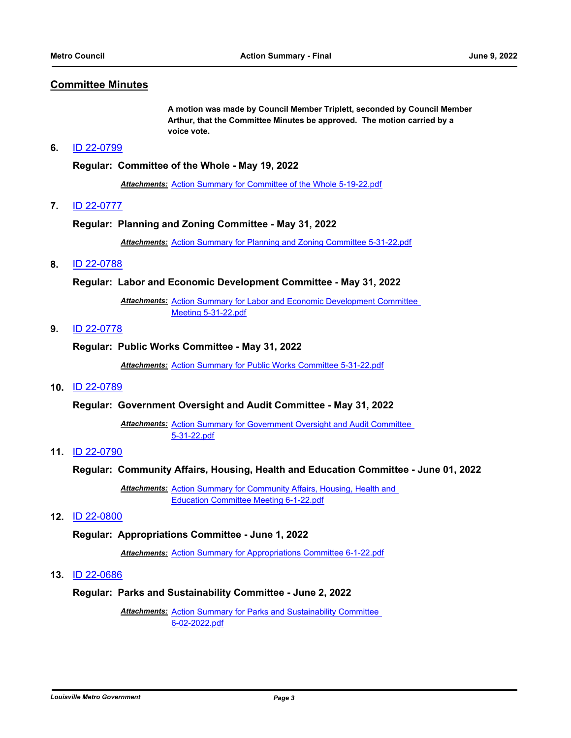### **Committee Minutes**

**A motion was made by Council Member Triplett, seconded by Council Member Arthur, that the Committee Minutes be approved. The motion carried by a voice vote.**

#### **6.** [ID 22-0799](http://louisville.legistar.com/gateway.aspx?m=l&id=/matter.aspx?key=60669)

#### **Regular: Committee of the Whole - May 19, 2022**

*Attachments:* [Action Summary for Committee of the Whole 5-19-22.pdf](http://louisville.legistar.com/gateway.aspx?M=F&ID=2476b22e-e284-4208-b195-5459fdbd0e7b.pdf)

#### **7.** [ID 22-0777](http://louisville.legistar.com/gateway.aspx?m=l&id=/matter.aspx?key=60457)

#### **Regular: Planning and Zoning Committee - May 31, 2022**

*Attachments:* [Action Summary for Planning and Zoning Committee 5-31-22.pdf](http://louisville.legistar.com/gateway.aspx?M=F&ID=e42331e8-ada9-453a-80e3-dcb5b0efaab6.pdf)

#### **8.** [ID 22-0788](http://louisville.legistar.com/gateway.aspx?m=l&id=/matter.aspx?key=60658)

#### **Regular: Labor and Economic Development Committee - May 31, 2022**

Attachments: Action Summary for Labor and Economic Development Committee Meeting 5-31-22.pdf

# **9.** [ID 22-0778](http://louisville.legistar.com/gateway.aspx?m=l&id=/matter.aspx?key=60458)

#### **Regular: Public Works Committee - May 31, 2022**

*Attachments:* [Action Summary for Public Works Committee 5-31-22.pdf](http://louisville.legistar.com/gateway.aspx?M=F&ID=079aa011-e38b-454a-8ad9-59a73cb19361.pdf)

#### **10.** [ID 22-0789](http://louisville.legistar.com/gateway.aspx?m=l&id=/matter.aspx?key=60659)

#### **Regular: Government Oversight and Audit Committee - May 31, 2022**

Attachments: Action Summary for Government Oversight and Audit Committee 5-31-22.pdf

# **11.** [ID 22-0790](http://louisville.legistar.com/gateway.aspx?m=l&id=/matter.aspx?key=60660)

#### **Regular: Community Affairs, Housing, Health and Education Committee - June 01, 2022**

Attachments: Action Summary for Community Affairs, Housing, Health and Education Committee Meeting 6-1-22.pdf

#### **12.** [ID 22-0800](http://louisville.legistar.com/gateway.aspx?m=l&id=/matter.aspx?key=60670)

#### **Regular: Appropriations Committee - June 1, 2022**

*Attachments:* [Action Summary for Appropriations Committee 6-1-22.pdf](http://louisville.legistar.com/gateway.aspx?M=F&ID=6bc09599-a5bb-4af9-9875-e2cb88a6d80c.pdf)

### **13.** [ID 22-0686](http://louisville.legistar.com/gateway.aspx?m=l&id=/matter.aspx?key=60289)

#### **Regular: Parks and Sustainability Committee - June 2, 2022**

**Attachments: Action Summary for Parks and Sustainability Committee** 6-02-2022.pdf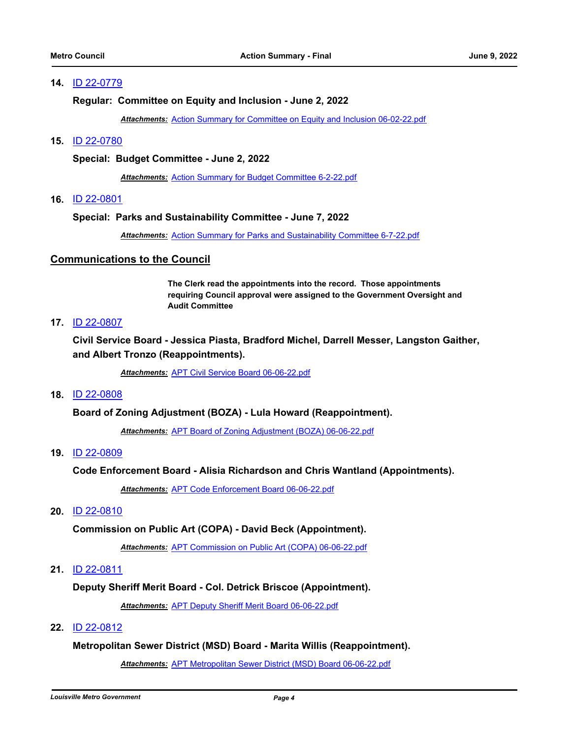### **14.** [ID 22-0779](http://louisville.legistar.com/gateway.aspx?m=l&id=/matter.aspx?key=60511)

#### **Regular: Committee on Equity and Inclusion - June 2, 2022**

*Attachments:* [Action Summary for Committee on Equity and Inclusion 06-02-22.pdf](http://louisville.legistar.com/gateway.aspx?M=F&ID=cbfd5afd-b3e4-4460-9914-31ff17173d90.pdf)

#### **15.** [ID 22-0780](http://louisville.legistar.com/gateway.aspx?m=l&id=/matter.aspx?key=60512)

#### **Special: Budget Committee - June 2, 2022**

*Attachments:* [Action Summary for Budget Committee 6-2-22.pdf](http://louisville.legistar.com/gateway.aspx?M=F&ID=9cee666d-8327-47ad-bfa7-0f50292c3570.pdf)

**16.** [ID 22-0801](http://louisville.legistar.com/gateway.aspx?m=l&id=/matter.aspx?key=60671)

#### **Special: Parks and Sustainability Committee - June 7, 2022**

*Attachments:* [Action Summary for Parks and Sustainability Committee 6-7-22.pdf](http://louisville.legistar.com/gateway.aspx?M=F&ID=9935bcb1-1c42-4027-a14f-24689e602384.pdf)

#### **Communications to the Council**

**The Clerk read the appointments into the record. Those appointments requiring Council approval were assigned to the Government Oversight and Audit Committee**

# **17.** [ID 22-0807](http://louisville.legistar.com/gateway.aspx?m=l&id=/matter.aspx?key=60676)

**Civil Service Board - Jessica Piasta, Bradford Michel, Darrell Messer, Langston Gaither, and Albert Tronzo (Reappointments).**

*Attachments:* [APT Civil Service Board 06-06-22.pdf](http://louisville.legistar.com/gateway.aspx?M=F&ID=f3570be2-4745-40aa-a28b-775e51e01776.pdf)

#### **18.** [ID 22-0808](http://louisville.legistar.com/gateway.aspx?m=l&id=/matter.aspx?key=60678)

**Board of Zoning Adjustment (BOZA) - Lula Howard (Reappointment).**

*Attachments:* [APT Board of Zoning Adjustment \(BOZA\) 06-06-22.pdf](http://louisville.legistar.com/gateway.aspx?M=F&ID=c1213373-021e-494a-99d1-7f122f59a186.pdf)

#### **19.** [ID 22-0809](http://louisville.legistar.com/gateway.aspx?m=l&id=/matter.aspx?key=60679)

**Code Enforcement Board - Alisia Richardson and Chris Wantland (Appointments).**

*Attachments:* [APT Code Enforcement Board 06-06-22.pdf](http://louisville.legistar.com/gateway.aspx?M=F&ID=ab574aec-153f-492d-999c-2a6c469ab7dc.pdf)

#### **20.** [ID 22-0810](http://louisville.legistar.com/gateway.aspx?m=l&id=/matter.aspx?key=60680)

#### **Commission on Public Art (COPA) - David Beck (Appointment).**

*Attachments:* [APT Commission on Public Art \(COPA\) 06-06-22.pdf](http://louisville.legistar.com/gateway.aspx?M=F&ID=fdcf7a27-d51f-4797-8756-a2075d099f41.pdf)

### **21.** [ID 22-0811](http://louisville.legistar.com/gateway.aspx?m=l&id=/matter.aspx?key=60681)

#### **Deputy Sheriff Merit Board - Col. Detrick Briscoe (Appointment).**

*Attachments:* [APT Deputy Sheriff Merit Board 06-06-22.pdf](http://louisville.legistar.com/gateway.aspx?M=F&ID=384a81b8-c624-4819-bc42-7da3b574c510.pdf)

#### **22.** [ID 22-0812](http://louisville.legistar.com/gateway.aspx?m=l&id=/matter.aspx?key=60682)

#### **Metropolitan Sewer District (MSD) Board - Marita Willis (Reappointment).**

*Attachments:* [APT Metropolitan Sewer District \(MSD\) Board 06-06-22.pdf](http://louisville.legistar.com/gateway.aspx?M=F&ID=d6e4af54-b5b7-4c1d-adb7-59a9408e6d95.pdf)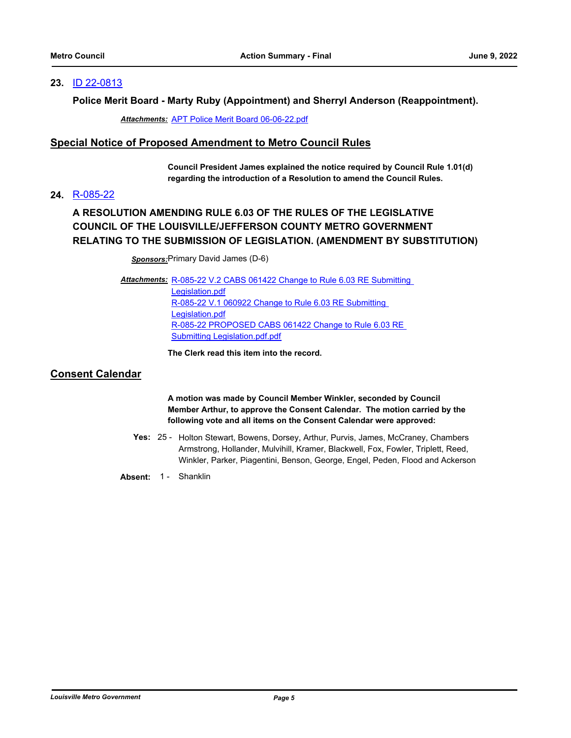### **23.** [ID 22-0813](http://louisville.legistar.com/gateway.aspx?m=l&id=/matter.aspx?key=60683)

### **Police Merit Board - Marty Ruby (Appointment) and Sherryl Anderson (Reappointment).**

*Attachments:* [APT Police Merit Board 06-06-22.pdf](http://louisville.legistar.com/gateway.aspx?M=F&ID=1327e7a8-b23d-444c-89ba-0265c6f7dffc.pdf)

### **Special Notice of Proposed Amendment to Metro Council Rules**

**Council President James explained the notice required by Council Rule 1.01(d) regarding the introduction of a Resolution to amend the Council Rules.**

### **24.** [R-085-22](http://louisville.legistar.com/gateway.aspx?m=l&id=/matter.aspx?key=60692)

# **A RESOLUTION AMENDING RULE 6.03 OF THE RULES OF THE LEGISLATIVE COUNCIL OF THE LOUISVILLE/JEFFERSON COUNTY METRO GOVERNMENT RELATING TO THE SUBMISSION OF LEGISLATION. (AMENDMENT BY SUBSTITUTION)**

*Sponsors:*Primary David James (D-6)

Attachments: R-085-22 V.2 CABS 061422 Change to Rule 6.03 RE Submitting Legislation.pdf [R-085-22 V.1 060922 Change to Rule 6.03 RE Submitting](http://louisville.legistar.com/gateway.aspx?M=F&ID=8cb66299-1e9a-425d-9e3a-baaad2474ab6.pdf)  Legislation.pdf [R-085-22 PROPOSED CABS 061422 Change to Rule 6.03 RE](http://louisville.legistar.com/gateway.aspx?M=F&ID=dd48d8ac-183b-4aca-a8be-6a2287d2420f.pdf)  Submitting Legislation.pdf.pdf

**The Clerk read this item into the record.**

# **Consent Calendar**

**A motion was made by Council Member Winkler, seconded by Council Member Arthur, to approve the Consent Calendar. The motion carried by the following vote and all items on the Consent Calendar were approved:**

- Yes: 25 Holton Stewart, Bowens, Dorsey, Arthur, Purvis, James, McCraney, Chambers Armstrong, Hollander, Mulvihill, Kramer, Blackwell, Fox, Fowler, Triplett, Reed, Winkler, Parker, Piagentini, Benson, George, Engel, Peden, Flood and Ackerson
- Absent: 1 Shanklin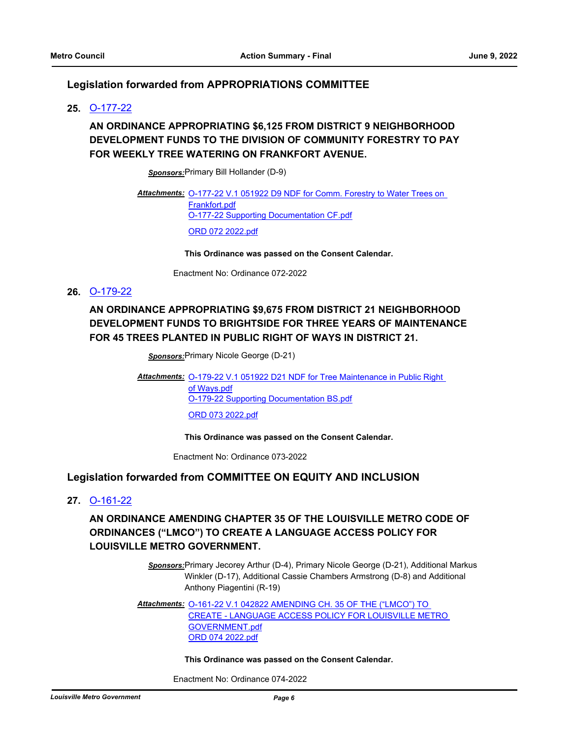# **Legislation forwarded from APPROPRIATIONS COMMITTEE**

### **25.** [O-177-22](http://louisville.legistar.com/gateway.aspx?m=l&id=/matter.aspx?key=60290)

# **AN ORDINANCE APPROPRIATING \$6,125 FROM DISTRICT 9 NEIGHBORHOOD DEVELOPMENT FUNDS TO THE DIVISION OF COMMUNITY FORESTRY TO PAY FOR WEEKLY TREE WATERING ON FRANKFORT AVENUE.**

*Sponsors:*Primary Bill Hollander (D-9)

Attachments: **O-177-22 V.1 051922 D9 NDF for Comm. Forestry to Water Trees on** Frankfort.pdf [O-177-22 Supporting Documentation CF.pdf](http://louisville.legistar.com/gateway.aspx?M=F&ID=d4f2dfc8-45bc-44d3-b6a9-dc79449617b9.pdf) [ORD 072 2022.pdf](http://louisville.legistar.com/gateway.aspx?M=F&ID=db7d598b-0153-4efb-b112-0b465b0ac388.pdf)

**This Ordinance was passed on the Consent Calendar.**

Enactment No: Ordinance 072-2022

# **26.** [O-179-22](http://louisville.legistar.com/gateway.aspx?m=l&id=/matter.aspx?key=60340)

# **AN ORDINANCE APPROPRIATING \$9,675 FROM DISTRICT 21 NEIGHBORHOOD DEVELOPMENT FUNDS TO BRIGHTSIDE FOR THREE YEARS OF MAINTENANCE FOR 45 TREES PLANTED IN PUBLIC RIGHT OF WAYS IN DISTRICT 21.**

*Sponsors:*Primary Nicole George (D-21)

Attachments: **O-179-22 V.1 051922 D21 NDF for Tree Maintenance in Public Right** of Ways.pdf [O-179-22 Supporting Documentation BS.pdf](http://louisville.legistar.com/gateway.aspx?M=F&ID=199d1165-2541-44e6-a7f0-fbda3ad88d5a.pdf) [ORD 073 2022.pdf](http://louisville.legistar.com/gateway.aspx?M=F&ID=4ef00611-9ee5-4fec-b562-456023c5b679.pdf)

**This Ordinance was passed on the Consent Calendar.**

Enactment No: Ordinance 073-2022

#### **Legislation forwarded from COMMITTEE ON EQUITY AND INCLUSION**

**27.** [O-161-22](http://louisville.legistar.com/gateway.aspx?m=l&id=/matter.aspx?key=60197)

**AN ORDINANCE AMENDING CHAPTER 35 OF THE LOUISVILLE METRO CODE OF ORDINANCES ("LMCO") TO CREATE A LANGUAGE ACCESS POLICY FOR LOUISVILLE METRO GOVERNMENT.**

> *Sponsors:*Primary Jecorey Arthur (D-4), Primary Nicole George (D-21), Additional Markus Winkler (D-17), Additional Cassie Chambers Armstrong (D-8) and Additional Anthony Piagentini (R-19)

Attachments: 0-161-22 V.1 042822 AMENDING CH. 35 OF THE ("LMCO") TO [CREATE - LANGUAGE ACCESS POLICY FOR LOUISVILLE METRO](http://louisville.legistar.com/gateway.aspx?M=F&ID=37fb829a-84fc-4b19-86a2-9d9e5348b2ac.pdf)  GOVERNMENT.pdf [ORD 074 2022.pdf](http://louisville.legistar.com/gateway.aspx?M=F&ID=0a89350d-6500-4dbd-8a2a-f5d8e84d71fe.pdf)

#### **This Ordinance was passed on the Consent Calendar.**

Enactment No: Ordinance 074-2022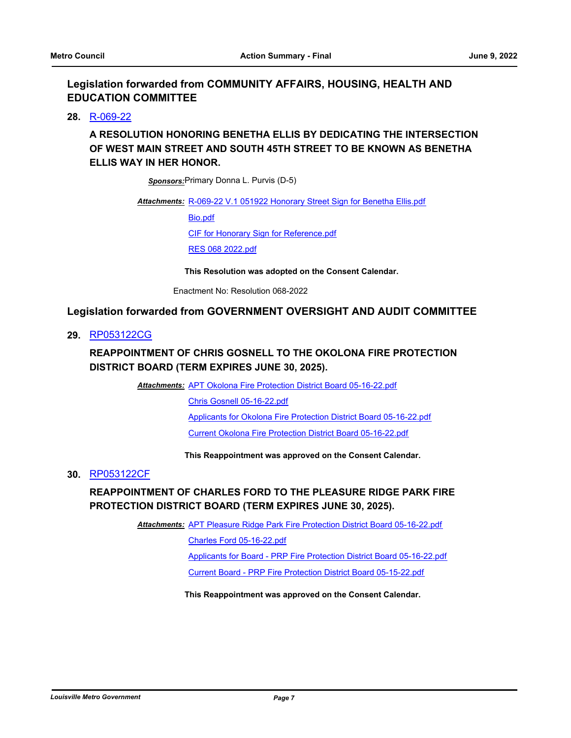# **Legislation forwarded from COMMUNITY AFFAIRS, HOUSING, HEALTH AND EDUCATION COMMITTEE**

### **28.** [R-069-22](http://louisville.legistar.com/gateway.aspx?m=l&id=/matter.aspx?key=60227)

# **A RESOLUTION HONORING BENETHA ELLIS BY DEDICATING THE INTERSECTION OF WEST MAIN STREET AND SOUTH 45TH STREET TO BE KNOWN AS BENETHA ELLIS WAY IN HER HONOR.**

*Sponsors:*Primary Donna L. Purvis (D-5)

#### Attachments: [R-069-22 V.1 051922 Honorary Street Sign for Benetha Ellis.pdf](http://louisville.legistar.com/gateway.aspx?M=F&ID=cf9d3d08-1493-4f28-8d73-e24afc4a1bc5.pdf)

[Bio.pdf](http://louisville.legistar.com/gateway.aspx?M=F&ID=5edf233a-2c62-401e-9048-bd49455e1fe4.pdf)

[CIF for Honorary Sign for Reference.pdf](http://louisville.legistar.com/gateway.aspx?M=F&ID=b91f8ee2-fcee-47ba-8e9d-98cf700fae1e.pdf)

[RES 068 2022.pdf](http://louisville.legistar.com/gateway.aspx?M=F&ID=e82975a9-e000-46d2-8b16-0637c3118e88.pdf)

**This Resolution was adopted on the Consent Calendar.**

Enactment No: Resolution 068-2022

### **Legislation forwarded from GOVERNMENT OVERSIGHT AND AUDIT COMMITTEE**

**29.** [RP053122CG](http://louisville.legistar.com/gateway.aspx?m=l&id=/matter.aspx?key=60357)

# **REAPPOINTMENT OF CHRIS GOSNELL TO THE OKOLONA FIRE PROTECTION DISTRICT BOARD (TERM EXPIRES JUNE 30, 2025).**

Attachments: [APT Okolona Fire Protection District Board 05-16-22.pdf](http://louisville.legistar.com/gateway.aspx?M=F&ID=b2a006c8-b059-4c8e-9057-39cca15508c4.pdf)

[Chris Gosnell 05-16-22.pdf](http://louisville.legistar.com/gateway.aspx?M=F&ID=1e08d59b-f638-46eb-abb2-c361a9dc5392.pdf)

[Applicants for Okolona Fire Protection District Board 05-16-22.pdf](http://louisville.legistar.com/gateway.aspx?M=F&ID=f38a8097-0ee8-4ad9-bfb8-5869f42b6f98.pdf)

[Current Okolona Fire Protection District Board 05-16-22.pdf](http://louisville.legistar.com/gateway.aspx?M=F&ID=8d7cde02-d2f2-428b-a5bd-b46dd6f9100a.pdf)

#### **This Reappointment was approved on the Consent Calendar.**

#### **30.** [RP053122CF](http://louisville.legistar.com/gateway.aspx?m=l&id=/matter.aspx?key=60358)

# **REAPPOINTMENT OF CHARLES FORD TO THE PLEASURE RIDGE PARK FIRE PROTECTION DISTRICT BOARD (TERM EXPIRES JUNE 30, 2025).**

**Attachments: [APT Pleasure Ridge Park Fire Protection District Board 05-16-22.pdf](http://louisville.legistar.com/gateway.aspx?M=F&ID=3fb565f9-7e74-40b8-8f3e-df011d2f801b.pdf)** 

[Charles Ford 05-16-22.pdf](http://louisville.legistar.com/gateway.aspx?M=F&ID=9df6cb76-f06c-42b9-9426-8383474aaa73.pdf)

[Applicants for Board - PRP Fire Protection District Board 05-16-22.pdf](http://louisville.legistar.com/gateway.aspx?M=F&ID=3bb4acf4-32ff-49b6-8ac5-a8dda9c122f4.pdf)

[Current Board - PRP Fire Protection District Board 05-15-22.pdf](http://louisville.legistar.com/gateway.aspx?M=F&ID=d5930f38-4b86-49b8-80ad-bb9727d0eb4d.pdf)

#### **This Reappointment was approved on the Consent Calendar.**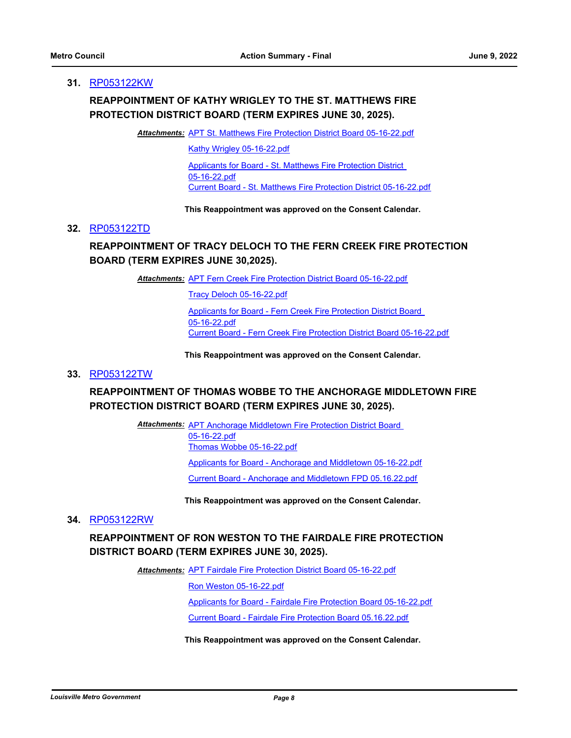#### **31.** [RP053122KW](http://louisville.legistar.com/gateway.aspx?m=l&id=/matter.aspx?key=60359)

# **REAPPOINTMENT OF KATHY WRIGLEY TO THE ST. MATTHEWS FIRE PROTECTION DISTRICT BOARD (TERM EXPIRES JUNE 30, 2025).**

Attachments: [APT St. Matthews Fire Protection District Board 05-16-22.pdf](http://louisville.legistar.com/gateway.aspx?M=F&ID=557b8032-970a-4241-a0d6-e9d98d9bcdbc.pdf)

[Kathy Wrigley 05-16-22.pdf](http://louisville.legistar.com/gateway.aspx?M=F&ID=afe49035-89e9-45df-aa9c-2624af4a6448.pdf)

[Applicants for Board - St. Matthews Fire Protection District](http://louisville.legistar.com/gateway.aspx?M=F&ID=bd3112e5-09df-4062-891e-8dcb5b8caedb.pdf)  05-16-22.pdf [Current Board - St. Matthews Fire Protection District 05-16-22.pdf](http://louisville.legistar.com/gateway.aspx?M=F&ID=e1a91be2-8683-4578-b564-cc14633b7260.pdf)

**This Reappointment was approved on the Consent Calendar.**

#### **32.** [RP053122TD](http://louisville.legistar.com/gateway.aspx?m=l&id=/matter.aspx?key=60360)

# **REAPPOINTMENT OF TRACY DELOCH TO THE FERN CREEK FIRE PROTECTION BOARD (TERM EXPIRES JUNE 30,2025).**

Attachments: [APT Fern Creek Fire Protection District Board 05-16-22.pdf](http://louisville.legistar.com/gateway.aspx?M=F&ID=6e58d20f-3d85-4f5f-a22c-d6d93a77f6c3.pdf)

[Tracy Deloch 05-16-22.pdf](http://louisville.legistar.com/gateway.aspx?M=F&ID=004a2bdc-dec9-4d45-8bd5-f41f5e44632f.pdf)

[Applicants for Board - Fern Creek Fire Protection District Board](http://louisville.legistar.com/gateway.aspx?M=F&ID=b2a0258b-80a3-4233-b84f-58fb0ca85e4e.pdf)  05-16-22.pdf [Current Board - Fern Creek Fire Protection District Board 05-16-22.pdf](http://louisville.legistar.com/gateway.aspx?M=F&ID=c5052c13-8af3-4817-bec7-1b9a74ed4506.pdf)

**This Reappointment was approved on the Consent Calendar.**

#### **33.** [RP053122TW](http://louisville.legistar.com/gateway.aspx?m=l&id=/matter.aspx?key=60361)

# **REAPPOINTMENT OF THOMAS WOBBE TO THE ANCHORAGE MIDDLETOWN FIRE PROTECTION DISTRICT BOARD (TERM EXPIRES JUNE 30, 2025).**

Attachments: APT Anchorage Middletown Fire Protection District Board 05-16-22.pdf [Thomas Wobbe 05-16-22.pdf](http://louisville.legistar.com/gateway.aspx?M=F&ID=ccaed687-39ee-498f-ac0f-9c8a120ada03.pdf) [Applicants for Board - Anchorage and Middletown 05-16-22.pdf](http://louisville.legistar.com/gateway.aspx?M=F&ID=2a1b19ea-9744-4a70-ab2a-d2e2f1cdf6dd.pdf) [Current Board - Anchorage and Middletown FPD 05.16.22.pdf](http://louisville.legistar.com/gateway.aspx?M=F&ID=5f3d136a-ef69-4057-b3a2-67dcb7a35fac.pdf)

**This Reappointment was approved on the Consent Calendar.**

### **34.** [RP053122RW](http://louisville.legistar.com/gateway.aspx?m=l&id=/matter.aspx?key=60362)

# **REAPPOINTMENT OF RON WESTON TO THE FAIRDALE FIRE PROTECTION DISTRICT BOARD (TERM EXPIRES JUNE 30, 2025).**

Attachments: [APT Fairdale Fire Protection District Board 05-16-22.pdf](http://louisville.legistar.com/gateway.aspx?M=F&ID=4d963226-84d5-4201-9b6a-d5973768efd4.pdf)

[Ron Weston 05-16-22.pdf](http://louisville.legistar.com/gateway.aspx?M=F&ID=1266e8c5-3b46-48ca-a378-935e139095fd.pdf)

[Applicants for Board - Fairdale Fire Protection Board 05-16-22.pdf](http://louisville.legistar.com/gateway.aspx?M=F&ID=38b543f8-ca6f-4f29-a58f-7d59c1e9fc13.pdf)

[Current Board - Fairdale Fire Protection Board 05.16.22.pdf](http://louisville.legistar.com/gateway.aspx?M=F&ID=095fa27f-79ef-4474-ac3b-daece252d799.pdf)

**This Reappointment was approved on the Consent Calendar.**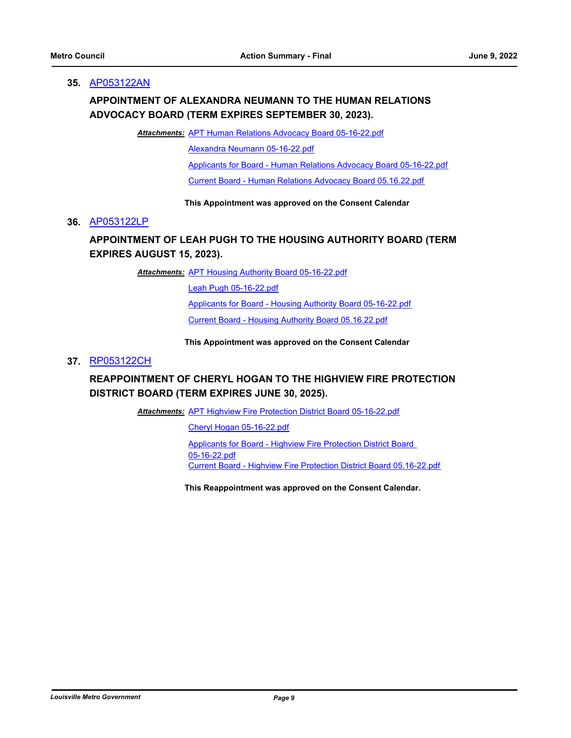#### **35.** [AP053122AN](http://louisville.legistar.com/gateway.aspx?m=l&id=/matter.aspx?key=60364)

# **APPOINTMENT OF ALEXANDRA NEUMANN TO THE HUMAN RELATIONS ADVOCACY BOARD (TERM EXPIRES SEPTEMBER 30, 2023).**

Attachments: [APT Human Relations Advocacy Board 05-16-22.pdf](http://louisville.legistar.com/gateway.aspx?M=F&ID=91358683-fb7c-44a4-b35d-0e837338c142.pdf)

[Alexandra Neumann 05-16-22.pdf](http://louisville.legistar.com/gateway.aspx?M=F&ID=c8355ba9-0c23-4db3-85cb-803f650a689e.pdf)

[Applicants for Board - Human Relations Advocacy Board 05-16-22.pdf](http://louisville.legistar.com/gateway.aspx?M=F&ID=1c2126cb-05bd-414f-9284-56f94770a378.pdf)

[Current Board - Human Relations Advocacy Board 05.16.22.pdf](http://louisville.legistar.com/gateway.aspx?M=F&ID=55aae6a3-2989-44bc-9a69-9f1cc387864d.pdf)

#### **This Appointment was approved on the Consent Calendar**

#### **36.** [AP053122LP](http://louisville.legistar.com/gateway.aspx?m=l&id=/matter.aspx?key=60365)

# **APPOINTMENT OF LEAH PUGH TO THE HOUSING AUTHORITY BOARD (TERM EXPIRES AUGUST 15, 2023).**

Attachments: [APT Housing Authority Board 05-16-22.pdf](http://louisville.legistar.com/gateway.aspx?M=F&ID=361a8e61-865c-42ac-a240-dfa0c527e48f.pdf)

[Leah Pugh 05-16-22.pdf](http://louisville.legistar.com/gateway.aspx?M=F&ID=25028f94-cef6-4fe6-b7a3-64d13d82ea37.pdf) [Applicants for Board - Housing Authority Board 05-16-22.pdf](http://louisville.legistar.com/gateway.aspx?M=F&ID=8a6756ae-3df3-4107-8b1f-f6fb82629914.pdf) [Current Board - Housing Authority Board 05.16.22.pdf](http://louisville.legistar.com/gateway.aspx?M=F&ID=bd81ce96-283f-4229-aa3b-d1a1dfdc1fc3.pdf)

#### **This Appointment was approved on the Consent Calendar**

#### **37.** [RP053122CH](http://louisville.legistar.com/gateway.aspx?m=l&id=/matter.aspx?key=60367)

# **REAPPOINTMENT OF CHERYL HOGAN TO THE HIGHVIEW FIRE PROTECTION DISTRICT BOARD (TERM EXPIRES JUNE 30, 2025).**

Attachments: [APT Highview Fire Protection District Board 05-16-22.pdf](http://louisville.legistar.com/gateway.aspx?M=F&ID=6c93080a-968a-4608-b5bb-8a3938df6b06.pdf)

[Cheryl Hogan 05-16-22.pdf](http://louisville.legistar.com/gateway.aspx?M=F&ID=895ef307-07c2-4e8c-8a3c-305d5d073baf.pdf)

[Applicants for Board - Highview Fire Protection District Board](http://louisville.legistar.com/gateway.aspx?M=F&ID=a4290530-2d6d-40bb-9002-ce5d529ba226.pdf)  05-16-22.pdf [Current Board - Highview Fire Protection District Board 05.16-22.pdf](http://louisville.legistar.com/gateway.aspx?M=F&ID=a4eac638-1fd4-4586-b0ec-861a370f2d69.pdf)

**This Reappointment was approved on the Consent Calendar.**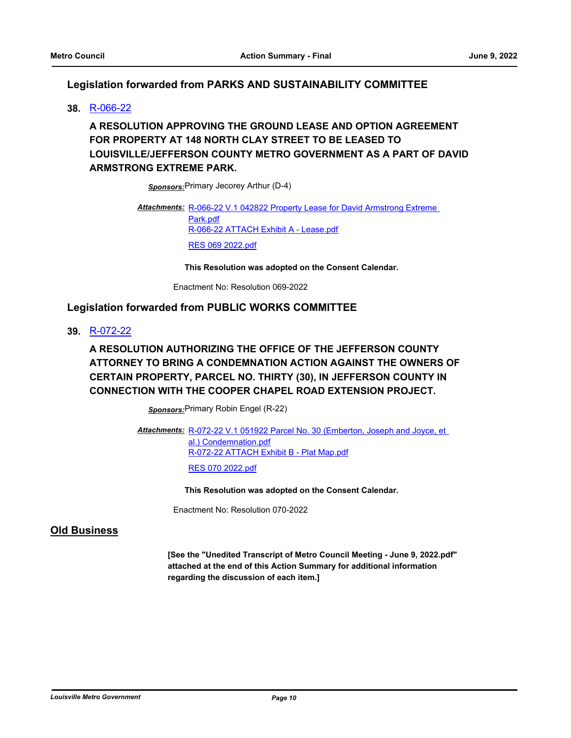# **Legislation forwarded from PARKS AND SUSTAINABILITY COMMITTEE**

### **38.** [R-066-22](http://louisville.legistar.com/gateway.aspx?m=l&id=/matter.aspx?key=60085)

# **A RESOLUTION APPROVING THE GROUND LEASE AND OPTION AGREEMENT FOR PROPERTY AT 148 NORTH CLAY STREET TO BE LEASED TO LOUISVILLE/JEFFERSON COUNTY METRO GOVERNMENT AS A PART OF DAVID ARMSTRONG EXTREME PARK.**

*Sponsors:*Primary Jecorey Arthur (D-4)

Attachments: R-066-22 V.1 042822 Property Lease for David Armstrong Extreme Park.pdf [R-066-22 ATTACH Exhibit A - Lease.pdf](http://louisville.legistar.com/gateway.aspx?M=F&ID=51457f63-615c-4560-9f16-cb7c8f647897.pdf) [RES 069 2022.pdf](http://louisville.legistar.com/gateway.aspx?M=F&ID=82f68bc4-7c6e-46e8-97f1-8a1c28042ed7.pdf)

**This Resolution was adopted on the Consent Calendar.**

Enactment No: Resolution 069-2022

# **Legislation forwarded from PUBLIC WORKS COMMITTEE**

**39.** [R-072-22](http://louisville.legistar.com/gateway.aspx?m=l&id=/matter.aspx?key=60315)

**A RESOLUTION AUTHORIZING THE OFFICE OF THE JEFFERSON COUNTY ATTORNEY TO BRING A CONDEMNATION ACTION AGAINST THE OWNERS OF CERTAIN PROPERTY, PARCEL NO. THIRTY (30), IN JEFFERSON COUNTY IN CONNECTION WITH THE COOPER CHAPEL ROAD EXTENSION PROJECT.**

*Sponsors:*Primary Robin Engel (R-22)

Attachments: R-072-22 V.1 051922 Parcel No. 30 (Emberton, Joseph and Joyce, et al.) Condemnation.pdf [R-072-22 ATTACH Exhibit B - Plat Map.pdf](http://louisville.legistar.com/gateway.aspx?M=F&ID=57f177a6-39e7-4cea-b6bb-ab7a0c8acaf5.pdf) [RES 070 2022.pdf](http://louisville.legistar.com/gateway.aspx?M=F&ID=394bee6a-d6b2-4fc1-950a-543093a00bf6.pdf)

**This Resolution was adopted on the Consent Calendar.**

Enactment No: Resolution 070-2022

# **Old Business**

**[See the "Unedited Transcript of Metro Council Meeting - June 9, 2022.pdf" attached at the end of this Action Summary for additional information regarding the discussion of each item.]**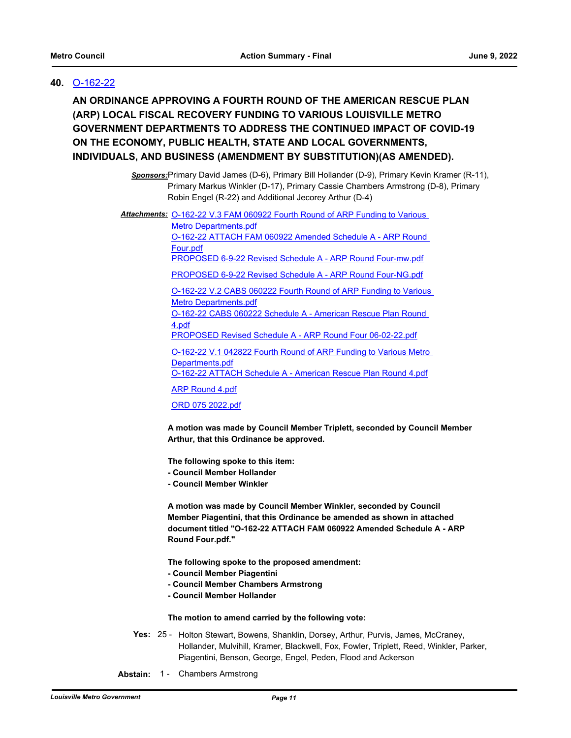# **40.** [O-162-22](http://louisville.legistar.com/gateway.aspx?m=l&id=/matter.aspx?key=60198)

**AN ORDINANCE APPROVING A FOURTH ROUND OF THE AMERICAN RESCUE PLAN (ARP) LOCAL FISCAL RECOVERY FUNDING TO VARIOUS LOUISVILLE METRO GOVERNMENT DEPARTMENTS TO ADDRESS THE CONTINUED IMPACT OF COVID-19 ON THE ECONOMY, PUBLIC HEALTH, STATE AND LOCAL GOVERNMENTS, INDIVIDUALS, AND BUSINESS (AMENDMENT BY SUBSTITUTION)(AS AMENDED).**

> *Sponsors:*Primary David James (D-6), Primary Bill Hollander (D-9), Primary Kevin Kramer (R-11), Primary Markus Winkler (D-17), Primary Cassie Chambers Armstrong (D-8), Primary Robin Engel (R-22) and Additional Jecorey Arthur (D-4)

Attachments: **O-162-22 V.3 FAM 060922 Fourth Round of ARP Funding to Various** 

Metro Departments.pdf [O-162-22 ATTACH FAM 060922 Amended Schedule A - ARP Round](http://louisville.legistar.com/gateway.aspx?M=F&ID=1e1dc2d1-6dc5-4b59-b8b0-e852f694a655.pdf)  Four.pdf

[PROPOSED 6-9-22 Revised Schedule A - ARP Round Four-mw.pdf](http://louisville.legistar.com/gateway.aspx?M=F&ID=64c291cd-fa7b-4375-abdd-7bd1e3204899.pdf)

[PROPOSED 6-9-22 Revised Schedule A - ARP Round Four-NG.pdf](http://louisville.legistar.com/gateway.aspx?M=F&ID=d2a7bba5-a610-463f-81b4-c0220b2f5637.pdf)

[O-162-22 V.2 CABS 060222 Fourth Round of ARP Funding to Various](http://louisville.legistar.com/gateway.aspx?M=F&ID=78b36078-6979-4947-8c68-57bc8fa4d5c4.pdf)  Metro Departments.pdf [O-162-22 CABS 060222 Schedule A - American Rescue Plan Round](http://louisville.legistar.com/gateway.aspx?M=F&ID=2d724a35-f926-499d-a001-ebb1ff1a8bae.pdf)  4.pdf

[PROPOSED Revised Schedule A - ARP Round Four 06-02-22.pdf](http://louisville.legistar.com/gateway.aspx?M=F&ID=7208329b-32c1-411c-a724-fd0d27245e85.pdf)

[O-162-22 V.1 042822 Fourth Round of ARP Funding to Various Metro](http://louisville.legistar.com/gateway.aspx?M=F&ID=e2fe9bde-fc24-4a03-be99-877d634784df.pdf)  Departments.pdf

[O-162-22 ATTACH Schedule A - American Rescue Plan Round 4.pdf](http://louisville.legistar.com/gateway.aspx?M=F&ID=9965581a-12d5-403f-8897-cc98fadbb12c.pdf)

[ARP Round 4.pdf](http://louisville.legistar.com/gateway.aspx?M=F&ID=d155c91f-b107-4161-85c9-b1a44e8e9d02.pdf)

[ORD 075 2022.pdf](http://louisville.legistar.com/gateway.aspx?M=F&ID=91f0568e-2379-4aa7-85f3-1670c20c2971.pdf)

**A motion was made by Council Member Triplett, seconded by Council Member Arthur, that this Ordinance be approved.** 

**The following spoke to this item:**

- **Council Member Hollander**
- **Council Member Winkler**

**A motion was made by Council Member Winkler, seconded by Council Member Piagentini, that this Ordinance be amended as shown in attached document titled "O-162-22 ATTACH FAM 060922 Amended Schedule A - ARP Round Four.pdf."**

**The following spoke to the proposed amendment:**

- **Council Member Piagentini**
- **Council Member Chambers Armstrong**
- **Council Member Hollander**

**The motion to amend carried by the following vote:**

- Yes: 25 Holton Stewart, Bowens, Shanklin, Dorsey, Arthur, Purvis, James, McCraney, Hollander, Mulvihill, Kramer, Blackwell, Fox, Fowler, Triplett, Reed, Winkler, Parker, Piagentini, Benson, George, Engel, Peden, Flood and Ackerson
- **Abstain:** 1 Chambers Armstrong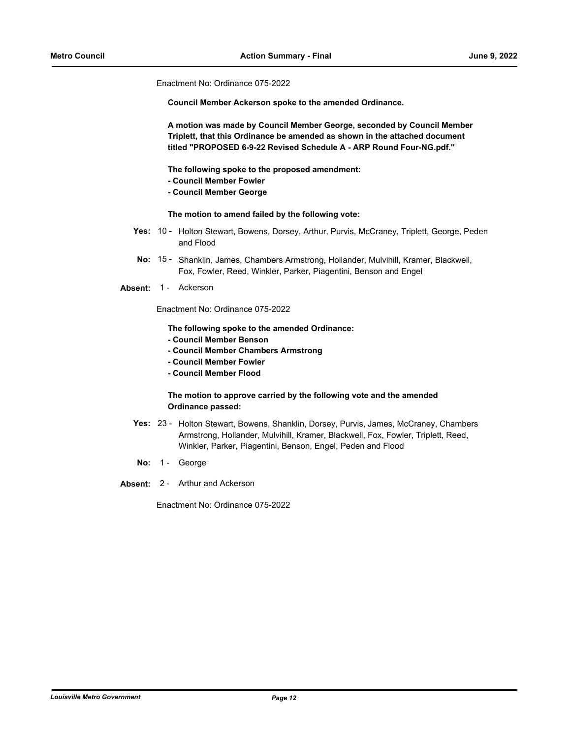Enactment No: Ordinance 075-2022

**Council Member Ackerson spoke to the amended Ordinance.** 

**A motion was made by Council Member George, seconded by Council Member Triplett, that this Ordinance be amended as shown in the attached document titled "PROPOSED 6-9-22 Revised Schedule A - ARP Round Four-NG.pdf."**

**The following spoke to the proposed amendment:**

- **Council Member Fowler**
- **Council Member George**

**The motion to amend failed by the following vote:**

- Yes: 10 Holton Stewart, Bowens, Dorsey, Arthur, Purvis, McCraney, Triplett, George, Peden and Flood
- No: 15 Shanklin, James, Chambers Armstrong, Hollander, Mulvihill, Kramer, Blackwell, Fox, Fowler, Reed, Winkler, Parker, Piagentini, Benson and Engel

Absent: 1 - Ackerson

Enactment No: Ordinance 075-2022

**The following spoke to the amended Ordinance:**

- **Council Member Benson**
- **Council Member Chambers Armstrong**
- **Council Member Fowler**
- **Council Member Flood**

#### **The motion to approve carried by the following vote and the amended Ordinance passed:**

- Yes: 23 Holton Stewart, Bowens, Shanklin, Dorsey, Purvis, James, McCraney, Chambers Armstrong, Hollander, Mulvihill, Kramer, Blackwell, Fox, Fowler, Triplett, Reed, Winkler, Parker, Piagentini, Benson, Engel, Peden and Flood
- No: 1 George
- **Absent:** 2 Arthur and Ackerson

Enactment No: Ordinance 075-2022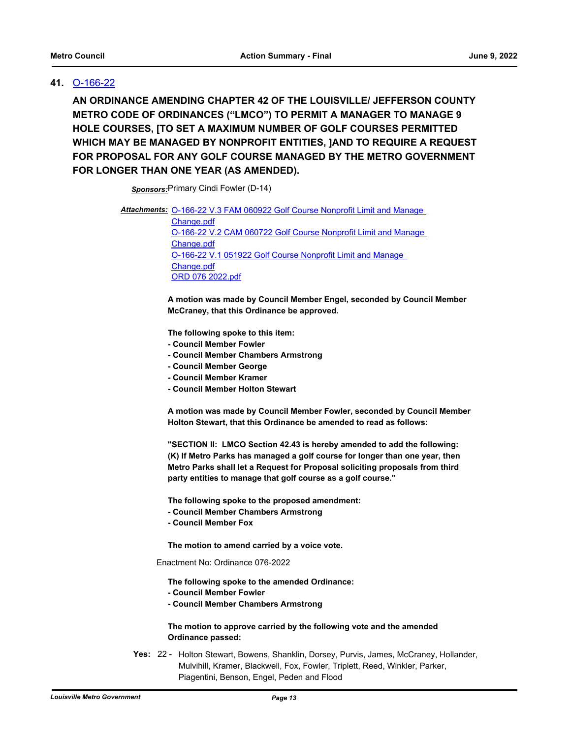# **41.** [O-166-22](http://louisville.legistar.com/gateway.aspx?m=l&id=/matter.aspx?key=60259)

**AN ORDINANCE AMENDING CHAPTER 42 OF THE LOUISVILLE/ JEFFERSON COUNTY METRO CODE OF ORDINANCES ("LMCO") TO PERMIT A MANAGER TO MANAGE 9 HOLE COURSES, [TO SET A MAXIMUM NUMBER OF GOLF COURSES PERMITTED WHICH MAY BE MANAGED BY NONPROFIT ENTITIES, ]AND TO REQUIRE A REQUEST FOR PROPOSAL FOR ANY GOLF COURSE MANAGED BY THE METRO GOVERNMENT FOR LONGER THAN ONE YEAR (AS AMENDED).**

*Sponsors:*Primary Cindi Fowler (D-14)

Attachments: O-166-22 V.3 FAM 060922 Golf Course Nonprofit Limit and Manage

Change.pdf [O-166-22 V.2 CAM 060722 Golf Course Nonprofit Limit and Manage](http://louisville.legistar.com/gateway.aspx?M=F&ID=fe69bc3b-5519-4c61-a2d2-f09cdf74bfbb.pdf)  Change.pdf [O-166-22 V.1 051922 Golf Course Nonprofit Limit and Manage](http://louisville.legistar.com/gateway.aspx?M=F&ID=f349eda3-471d-4c27-b32f-57e4dc34cd4e.pdf)  Change.pdf [ORD 076 2022.pdf](http://louisville.legistar.com/gateway.aspx?M=F&ID=cef6625d-35b7-4cc7-834c-f2ee9d4f9dd9.pdf)

**A motion was made by Council Member Engel, seconded by Council Member McCraney, that this Ordinance be approved.** 

**The following spoke to this item:**

- **Council Member Fowler**
- **Council Member Chambers Armstrong**
- **Council Member George**
- **Council Member Kramer**
- **Council Member Holton Stewart**

**A motion was made by Council Member Fowler, seconded by Council Member Holton Stewart, that this Ordinance be amended to read as follows:**

**"SECTION II: LMCO Section 42.43 is hereby amended to add the following: (K) If Metro Parks has managed a golf course for longer than one year, then Metro Parks shall let a Request for Proposal soliciting proposals from third party entities to manage that golf course as a golf course."**

**The following spoke to the proposed amendment:**

- **Council Member Chambers Armstrong**
- **Council Member Fox**

**The motion to amend carried by a voice vote.**

Enactment No: Ordinance 076-2022

**The following spoke to the amended Ordinance:**

- **Council Member Fowler**
- **Council Member Chambers Armstrong**

**The motion to approve carried by the following vote and the amended Ordinance passed:**

Yes: 22 - Holton Stewart, Bowens, Shanklin, Dorsey, Purvis, James, McCraney, Hollander, Mulvihill, Kramer, Blackwell, Fox, Fowler, Triplett, Reed, Winkler, Parker, Piagentini, Benson, Engel, Peden and Flood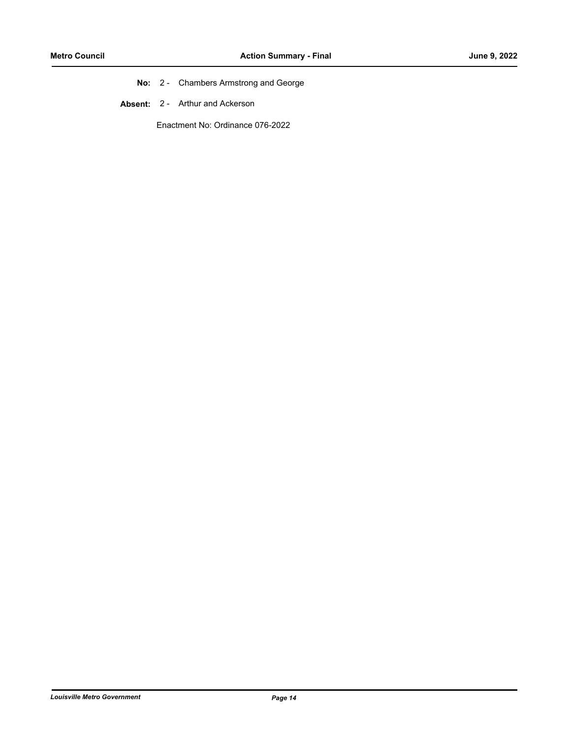- **No:** 2 Chambers Armstrong and George
- **Absent:** 2 Arthur and Ackerson

Enactment No: Ordinance 076-2022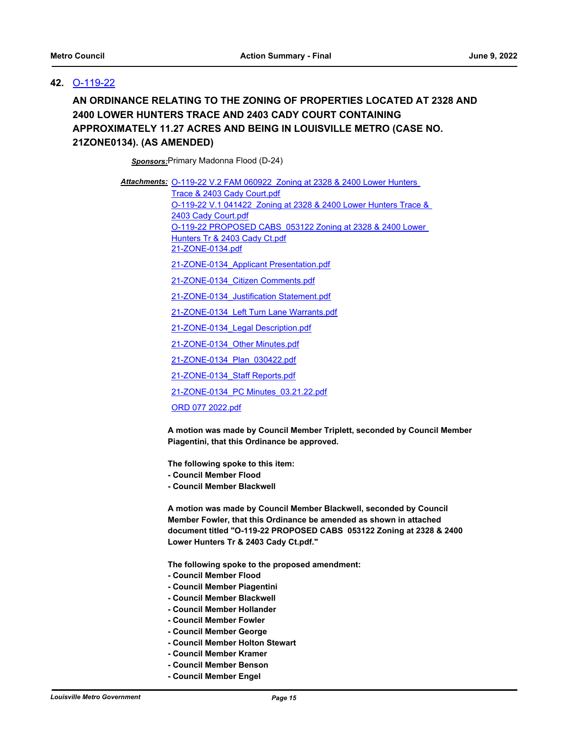# **42.** [O-119-22](http://louisville.legistar.com/gateway.aspx?m=l&id=/matter.aspx?key=59936)

**AN ORDINANCE RELATING TO THE ZONING OF PROPERTIES LOCATED AT 2328 AND 2400 LOWER HUNTERS TRACE AND 2403 CADY COURT CONTAINING APPROXIMATELY 11.27 ACRES AND BEING IN LOUISVILLE METRO (CASE NO. 21ZONE0134). (AS AMENDED)**

*Sponsors:*Primary Madonna Flood (D-24)

Attachments: O-119-22 V.2 FAM 060922 Zoning at 2328 & 2400 Lower Hunters Trace & 2403 Cady Court.pdf [O-119-22 V.1 041422 Zoning at 2328 & 2400 Lower Hunters Trace &](http://louisville.legistar.com/gateway.aspx?M=F&ID=92e068a8-5985-4f2c-bf8c-e3164fc6783f.pdf)  2403 Cady Court.pdf [O-119-22 PROPOSED CABS 053122 Zoning at 2328 & 2400 Lower](http://louisville.legistar.com/gateway.aspx?M=F&ID=813ccebf-ebda-41f8-ac82-678cc41b0e90.pdf)  Hunters Tr & 2403 Cady Ct.pdf [21-ZONE-0134.pdf](http://louisville.legistar.com/gateway.aspx?M=F&ID=ae5c14ef-5ac0-40d8-a359-ea0ec773f8fd.pdf) [21-ZONE-0134\\_Applicant Presentation.pdf](http://louisville.legistar.com/gateway.aspx?M=F&ID=ded4047a-27dd-4944-9699-2418761db3ab.pdf) [21-ZONE-0134\\_Citizen Comments.pdf](http://louisville.legistar.com/gateway.aspx?M=F&ID=214154b9-b115-42d5-962a-4f1d50a7c90b.pdf) [21-ZONE-0134\\_Justification Statement.pdf](http://louisville.legistar.com/gateway.aspx?M=F&ID=5ec93070-6419-4bdb-9f88-4dab7ff46724.pdf) [21-ZONE-0134\\_Left Turn Lane Warrants.pdf](http://louisville.legistar.com/gateway.aspx?M=F&ID=6a115e25-55b0-41f4-8524-e36f17647e2d.pdf) [21-ZONE-0134\\_Legal Description.pdf](http://louisville.legistar.com/gateway.aspx?M=F&ID=ff1e7025-2511-4c24-8574-d32c991e59bd.pdf) [21-ZONE-0134\\_Other Minutes.pdf](http://louisville.legistar.com/gateway.aspx?M=F&ID=726c3bf6-b986-476e-a55f-46711f1f7e56.pdf) [21-ZONE-0134\\_Plan\\_030422.pdf](http://louisville.legistar.com/gateway.aspx?M=F&ID=8b1802c7-4597-4147-8962-491717e90102.pdf) [21-ZONE-0134\\_Staff Reports.pdf](http://louisville.legistar.com/gateway.aspx?M=F&ID=58b77592-63aa-4792-9985-056d5736ce5d.pdf) [21-ZONE-0134\\_PC Minutes\\_03.21.22.pdf](http://louisville.legistar.com/gateway.aspx?M=F&ID=5ec23eb6-afea-4c4b-a1b8-afe11ecf62e6.pdf) [ORD 077 2022.pdf](http://louisville.legistar.com/gateway.aspx?M=F&ID=bb587ec0-6b1b-4d61-b514-1c85be60824d.pdf)

> **A motion was made by Council Member Triplett, seconded by Council Member Piagentini, that this Ordinance be approved.**

**The following spoke to this item:**

- **Council Member Flood**
- **Council Member Blackwell**

**A motion was made by Council Member Blackwell, seconded by Council Member Fowler, that this Ordinance be amended as shown in attached document titled "O-119-22 PROPOSED CABS 053122 Zoning at 2328 & 2400 Lower Hunters Tr & 2403 Cady Ct.pdf."**

**The following spoke to the proposed amendment:**

- **Council Member Flood**
- **Council Member Piagentini**
- **Council Member Blackwell**
- **Council Member Hollander**
- **Council Member Fowler**
- **Council Member George**
- **Council Member Holton Stewart**
- **Council Member Kramer**
- **Council Member Benson**
- **Council Member Engel**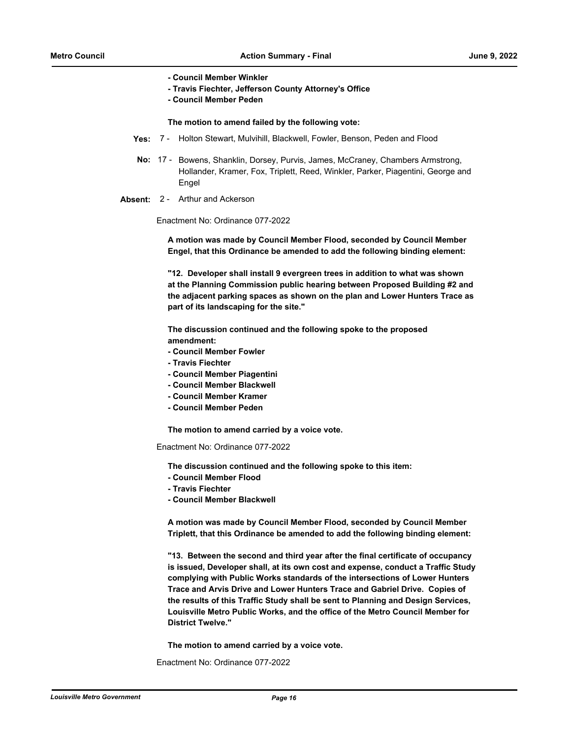**- Council Member Winkler**

- **Travis Fiechter, Jefferson County Attorney's Office**
- **Council Member Peden**

#### **The motion to amend failed by the following vote:**

- **Yes:** 7 Holton Stewart, Mulvihill, Blackwell, Fowler, Benson, Peden and Flood
- No: 17 Bowens, Shanklin, Dorsey, Purvis, James, McCraney, Chambers Armstrong, Hollander, Kramer, Fox, Triplett, Reed, Winkler, Parker, Piagentini, George and Engel
- **Absent:** 2 Arthur and Ackerson

Enactment No: Ordinance 077-2022

**A motion was made by Council Member Flood, seconded by Council Member Engel, that this Ordinance be amended to add the following binding element:**

**"12. Developer shall install 9 evergreen trees in addition to what was shown at the Planning Commission public hearing between Proposed Building #2 and the adjacent parking spaces as shown on the plan and Lower Hunters Trace as part of its landscaping for the site."**

**The discussion continued and the following spoke to the proposed amendment:**

- **Council Member Fowler**
- **Travis Fiechter**
- **Council Member Piagentini**
- **Council Member Blackwell**
- **Council Member Kramer**
- **Council Member Peden**

**The motion to amend carried by a voice vote.**

Enactment No: Ordinance 077-2022

**The discussion continued and the following spoke to this item:**

- **Council Member Flood**
- **Travis Fiechter**
- **Council Member Blackwell**

**A motion was made by Council Member Flood, seconded by Council Member Triplett, that this Ordinance be amended to add the following binding element:**

**"13. Between the second and third year after the final certificate of occupancy is issued, Developer shall, at its own cost and expense, conduct a Traffic Study complying with Public Works standards of the intersections of Lower Hunters Trace and Arvis Drive and Lower Hunters Trace and Gabriel Drive. Copies of the results of this Traffic Study shall be sent to Planning and Design Services, Louisville Metro Public Works, and the office of the Metro Council Member for District Twelve."**

**The motion to amend carried by a voice vote.**

Enactment No: Ordinance 077-2022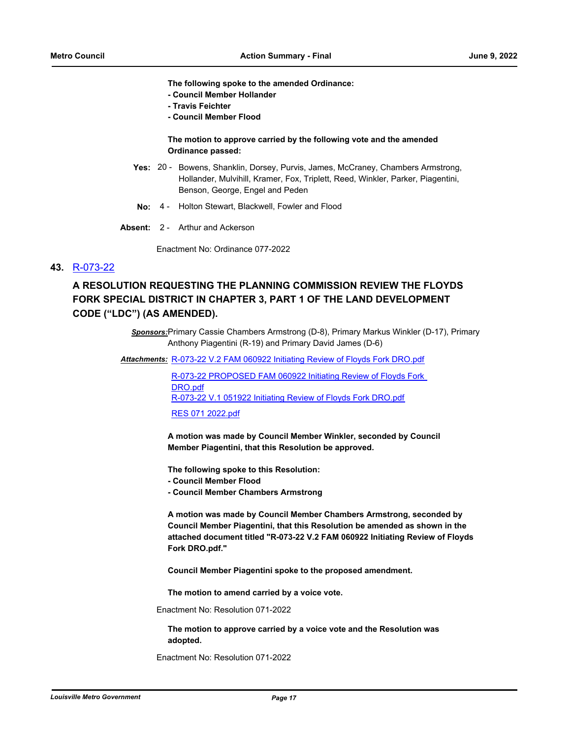**The following spoke to the amended Ordinance:**

- **Council Member Hollander**
- **Travis Feichter**
- **Council Member Flood**

#### **The motion to approve carried by the following vote and the amended Ordinance passed:**

- Yes: 20 Bowens, Shanklin, Dorsey, Purvis, James, McCraney, Chambers Armstrong, Hollander, Mulvihill, Kramer, Fox, Triplett, Reed, Winkler, Parker, Piagentini, Benson, George, Engel and Peden
- **No:** 4 Holton Stewart, Blackwell, Fowler and Flood
- **Absent:** 2 Arthur and Ackerson

Enactment No: Ordinance 077-2022

#### **43.** [R-073-22](http://louisville.legistar.com/gateway.aspx?m=l&id=/matter.aspx?key=60336)

# **A RESOLUTION REQUESTING THE PLANNING COMMISSION REVIEW THE FLOYDS FORK SPECIAL DISTRICT IN CHAPTER 3, PART 1 OF THE LAND DEVELOPMENT CODE ("LDC") (AS AMENDED).**

*Sponsors:*Primary Cassie Chambers Armstrong (D-8), Primary Markus Winkler (D-17), Primary Anthony Piagentini (R-19) and Primary David James (D-6)

Attachments: [R-073-22 V.2 FAM 060922 Initiating Review of Floyds Fork DRO.pdf](http://louisville.legistar.com/gateway.aspx?M=F&ID=6a229147-6f34-4cc3-8ce8-4566526c423f.pdf)

[R-073-22 PROPOSED FAM 060922 Initiating Review of Floyds Fork](http://louisville.legistar.com/gateway.aspx?M=F&ID=7fd9ed37-e306-469e-a997-ca111382af51.pdf)  DRO.pdf [R-073-22 V.1 051922 Initiating Review of Floyds Fork DRO.pdf](http://louisville.legistar.com/gateway.aspx?M=F&ID=8405a980-2093-4144-92fc-c9b305acafb1.pdf)

[RES 071 2022.pdf](http://louisville.legistar.com/gateway.aspx?M=F&ID=9ac55e40-08ee-40c4-a9b8-d6066f9385c0.pdf)

**A motion was made by Council Member Winkler, seconded by Council Member Piagentini, that this Resolution be approved.**

**The following spoke to this Resolution:**

- **Council Member Flood**
- **Council Member Chambers Armstrong**

**A motion was made by Council Member Chambers Armstrong, seconded by Council Member Piagentini, that this Resolution be amended as shown in the attached document titled "R-073-22 V.2 FAM 060922 Initiating Review of Floyds Fork DRO.pdf."**

**Council Member Piagentini spoke to the proposed amendment.** 

**The motion to amend carried by a voice vote.**

Enactment No: Resolution 071-2022

**The motion to approve carried by a voice vote and the Resolution was adopted.**

Enactment No: Resolution 071-2022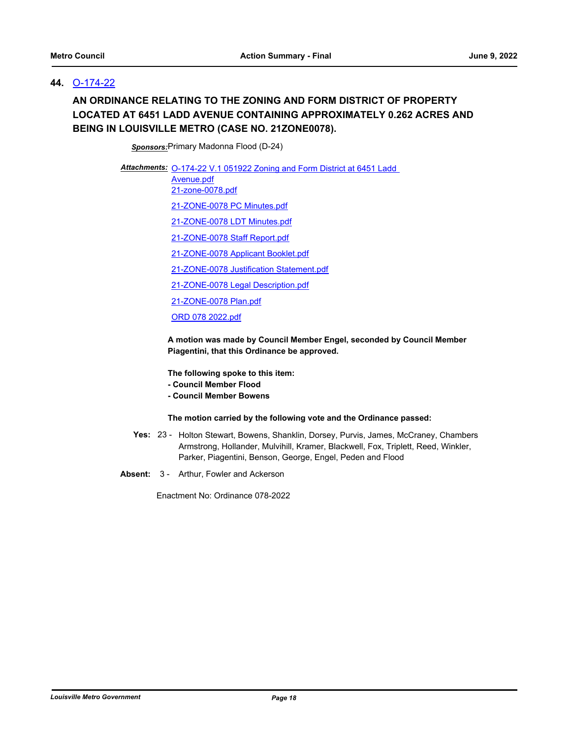# **44.** [O-174-22](http://louisville.legistar.com/gateway.aspx?m=l&id=/matter.aspx?key=60285)

# **AN ORDINANCE RELATING TO THE ZONING AND FORM DISTRICT OF PROPERTY LOCATED AT 6451 LADD AVENUE CONTAINING APPROXIMATELY 0.262 ACRES AND BEING IN LOUISVILLE METRO (CASE NO. 21ZONE0078).**

*Sponsors:*Primary Madonna Flood (D-24)

Attachments: O-174-22 V.1 051922 Zoning and Form District at 6451 Ladd

Avenue.pdf [21-zone-0078.pdf](http://louisville.legistar.com/gateway.aspx?M=F&ID=bd86ab40-76f5-410b-a484-63267959fc52.pdf)

[21-ZONE-0078 PC Minutes.pdf](http://louisville.legistar.com/gateway.aspx?M=F&ID=6f60ed23-99d9-4147-a6aa-699d1c7bd408.pdf)

[21-ZONE-0078 LDT Minutes.pdf](http://louisville.legistar.com/gateway.aspx?M=F&ID=f764dc0f-1773-43e5-be91-22e0927cc289.pdf)

[21-ZONE-0078 Staff Report.pdf](http://louisville.legistar.com/gateway.aspx?M=F&ID=23d12b4c-1299-4214-ab83-a02993079b1e.pdf)

[21-ZONE-0078 Applicant Booklet.pdf](http://louisville.legistar.com/gateway.aspx?M=F&ID=50f0f9f5-94d5-4aaa-af2d-bb9441bd5fae.pdf)

[21-ZONE-0078 Justification Statement.pdf](http://louisville.legistar.com/gateway.aspx?M=F&ID=efef14c7-4755-461d-b056-64abb0bef4eb.pdf)

[21-ZONE-0078 Legal Description.pdf](http://louisville.legistar.com/gateway.aspx?M=F&ID=58e7ae1d-3bae-46f1-9e93-756a8044e87b.pdf)

[21-ZONE-0078 Plan.pdf](http://louisville.legistar.com/gateway.aspx?M=F&ID=216bedda-ed92-4d9b-ade4-48c452b513f4.pdf)

[ORD 078 2022.pdf](http://louisville.legistar.com/gateway.aspx?M=F&ID=4ada8113-c501-414a-b22e-bd4768f66d39.pdf)

**A motion was made by Council Member Engel, seconded by Council Member Piagentini, that this Ordinance be approved.** 

**The following spoke to this item:**

- **Council Member Flood**
- **Council Member Bowens**

#### **The motion carried by the following vote and the Ordinance passed:**

- Yes: 23 Holton Stewart, Bowens, Shanklin, Dorsey, Purvis, James, McCraney, Chambers Armstrong, Hollander, Mulvihill, Kramer, Blackwell, Fox, Triplett, Reed, Winkler, Parker, Piagentini, Benson, George, Engel, Peden and Flood
- **Absent:** 3 Arthur, Fowler and Ackerson

Enactment No: Ordinance 078-2022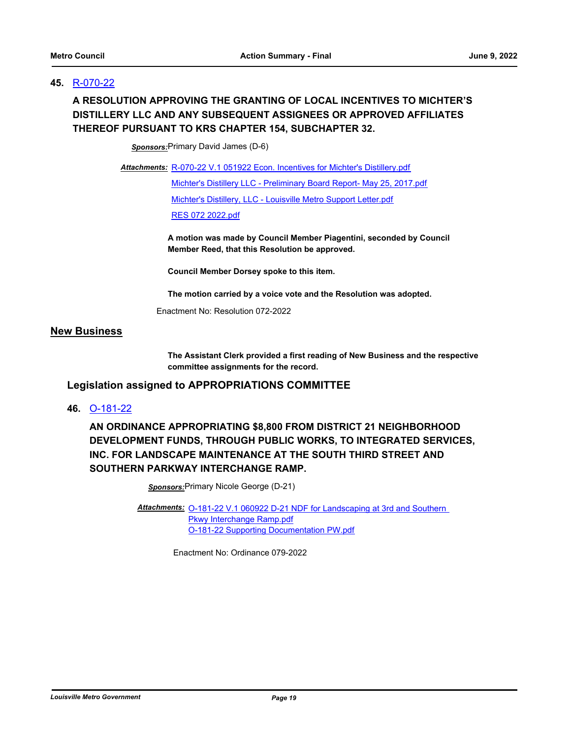# **45.** [R-070-22](http://louisville.legistar.com/gateway.aspx?m=l&id=/matter.aspx?key=60264)

# **A RESOLUTION APPROVING THE GRANTING OF LOCAL INCENTIVES TO MICHTER'S DISTILLERY LLC AND ANY SUBSEQUENT ASSIGNEES OR APPROVED AFFILIATES THEREOF PURSUANT TO KRS CHAPTER 154, SUBCHAPTER 32.**

*Sponsors:*Primary David James (D-6)

Attachments: [R-070-22 V.1 051922 Econ. Incentives for Michter's Distillery.pdf](http://louisville.legistar.com/gateway.aspx?M=F&ID=34e57c37-9f3e-475a-abfe-81cde4ee53c6.pdf) [Michter's Distillery LLC - Preliminary Board Report- May 25, 2017.pdf](http://louisville.legistar.com/gateway.aspx?M=F&ID=c657dacc-2966-4d43-9a4b-6c2cc9853286.pdf) [Michter's Distillery, LLC - Louisville Metro Support Letter.pdf](http://louisville.legistar.com/gateway.aspx?M=F&ID=3f04381a-c153-4a4d-a3e8-a33126165da8.pdf) [RES 072 2022.pdf](http://louisville.legistar.com/gateway.aspx?M=F&ID=7a6085b7-b3f4-414c-89d8-0e0aec674b64.pdf)

> **A motion was made by Council Member Piagentini, seconded by Council Member Reed, that this Resolution be approved.**

**Council Member Dorsey spoke to this item.** 

**The motion carried by a voice vote and the Resolution was adopted.**

Enactment No: Resolution 072-2022

#### **New Business**

**The Assistant Clerk provided a first reading of New Business and the respective committee assignments for the record.**

### **Legislation assigned to APPROPRIATIONS COMMITTEE**

**46.** [O-181-22](http://louisville.legistar.com/gateway.aspx?m=l&id=/matter.aspx?key=60353)

**AN ORDINANCE APPROPRIATING \$8,800 FROM DISTRICT 21 NEIGHBORHOOD DEVELOPMENT FUNDS, THROUGH PUBLIC WORKS, TO INTEGRATED SERVICES, INC. FOR LANDSCAPE MAINTENANCE AT THE SOUTH THIRD STREET AND SOUTHERN PARKWAY INTERCHANGE RAMP.**

*Sponsors:*Primary Nicole George (D-21)

Attachments: **O-181-22 V.1 060922 D-21 NDF** for Landscaping at 3rd and Southern Pkwy Interchange Ramp.pdf [O-181-22 Supporting Documentation PW.pdf](http://louisville.legistar.com/gateway.aspx?M=F&ID=5be9bdfe-62ed-4103-bc5a-fac356626bba.pdf)

Enactment No: Ordinance 079-2022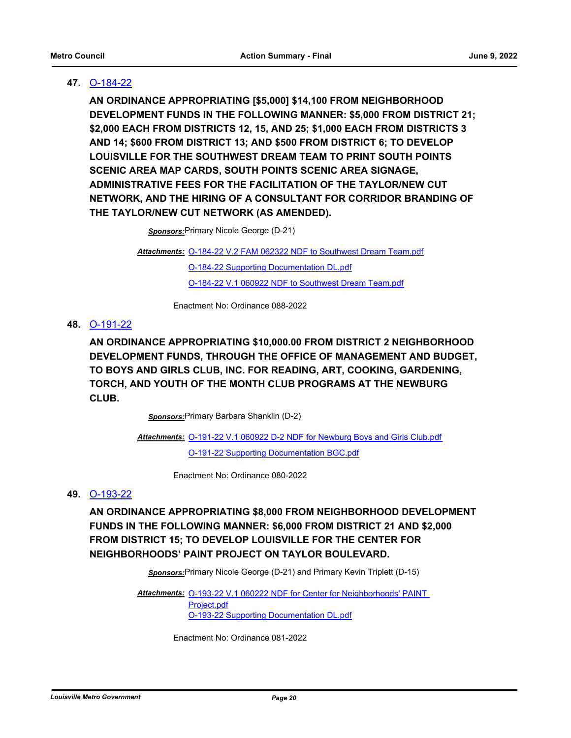# **47.** [O-184-22](http://louisville.legistar.com/gateway.aspx?m=l&id=/matter.aspx?key=60376)

**AN ORDINANCE APPROPRIATING [\$5,000] \$14,100 FROM NEIGHBORHOOD DEVELOPMENT FUNDS IN THE FOLLOWING MANNER: \$5,000 FROM DISTRICT 21; \$2,000 EACH FROM DISTRICTS 12, 15, AND 25; \$1,000 EACH FROM DISTRICTS 3 AND 14; \$600 FROM DISTRICT 13; AND \$500 FROM DISTRICT 6; TO DEVELOP LOUISVILLE FOR THE SOUTHWEST DREAM TEAM TO PRINT SOUTH POINTS SCENIC AREA MAP CARDS, SOUTH POINTS SCENIC AREA SIGNAGE, ADMINISTRATIVE FEES FOR THE FACILITATION OF THE TAYLOR/NEW CUT NETWORK, AND THE HIRING OF A CONSULTANT FOR CORRIDOR BRANDING OF THE TAYLOR/NEW CUT NETWORK (AS AMENDED).**

*Sponsors:*Primary Nicole George (D-21)

Attachments: [O-184-22 V.2 FAM 062322 NDF to Southwest Dream Team.pdf](http://louisville.legistar.com/gateway.aspx?M=F&ID=51f6d37d-f1e2-4689-bb19-2d44bb3e6c9b.pdf) [O-184-22 Supporting Documentation DL.pdf](http://louisville.legistar.com/gateway.aspx?M=F&ID=a3a0dc93-f96a-41d9-98b4-1c1631f0cd28.pdf) [O-184-22 V.1 060922 NDF to Southwest Dream Team.pdf](http://louisville.legistar.com/gateway.aspx?M=F&ID=04aad663-2bdf-4750-b44a-d4f11f53ee10.pdf)

Enactment No: Ordinance 088-2022

# **48.** [O-191-22](http://louisville.legistar.com/gateway.aspx?m=l&id=/matter.aspx?key=60384)

**AN ORDINANCE APPROPRIATING \$10,000.00 FROM DISTRICT 2 NEIGHBORHOOD DEVELOPMENT FUNDS, THROUGH THE OFFICE OF MANAGEMENT AND BUDGET, TO BOYS AND GIRLS CLUB, INC. FOR READING, ART, COOKING, GARDENING, TORCH, AND YOUTH OF THE MONTH CLUB PROGRAMS AT THE NEWBURG CLUB.**

*Sponsors:*Primary Barbara Shanklin (D-2)

Attachments: [O-191-22 V.1 060922 D-2 NDF for Newburg Boys and Girls Club.pdf](http://louisville.legistar.com/gateway.aspx?M=F&ID=b10caf7e-c5d6-485b-a4b2-95f6c49e9ba8.pdf) [O-191-22 Supporting Documentation BGC.pdf](http://louisville.legistar.com/gateway.aspx?M=F&ID=7464accc-b4f1-4105-8a95-4e637d45a211.pdf)

Enactment No: Ordinance 080-2022

#### **49.** [O-193-22](http://louisville.legistar.com/gateway.aspx?m=l&id=/matter.aspx?key=60397)

**AN ORDINANCE APPROPRIATING \$8,000 FROM NEIGHBORHOOD DEVELOPMENT FUNDS IN THE FOLLOWING MANNER: \$6,000 FROM DISTRICT 21 AND \$2,000 FROM DISTRICT 15; TO DEVELOP LOUISVILLE FOR THE CENTER FOR NEIGHBORHOODS' PAINT PROJECT ON TAYLOR BOULEVARD.**

*Sponsors:*Primary Nicole George (D-21) and Primary Kevin Triplett (D-15)

Attachments: O-193-22 V.1 060222 NDF for Center for Neighborhoods' PAINT Project.pdf [O-193-22 Supporting Documentation DL.pdf](http://louisville.legistar.com/gateway.aspx?M=F&ID=c574d4fa-6ed0-4e78-8b80-70ed57eee277.pdf)

Enactment No: Ordinance 081-2022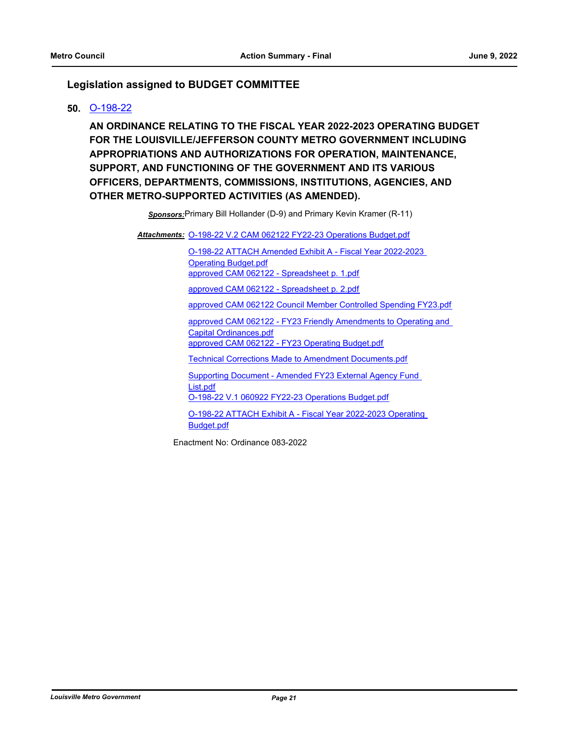# **Legislation assigned to BUDGET COMMITTEE**

### **50.** [O-198-22](http://louisville.legistar.com/gateway.aspx?m=l&id=/matter.aspx?key=60685)

**AN ORDINANCE RELATING TO THE FISCAL YEAR 2022-2023 OPERATING BUDGET FOR THE LOUISVILLE/JEFFERSON COUNTY METRO GOVERNMENT INCLUDING APPROPRIATIONS AND AUTHORIZATIONS FOR OPERATION, MAINTENANCE, SUPPORT, AND FUNCTIONING OF THE GOVERNMENT AND ITS VARIOUS OFFICERS, DEPARTMENTS, COMMISSIONS, INSTITUTIONS, AGENCIES, AND OTHER METRO-SUPPORTED ACTIVITIES (AS AMENDED).**

*Sponsors:*Primary Bill Hollander (D-9) and Primary Kevin Kramer (R-11)

Attachments: [O-198-22 V.2 CAM 062122 FY22-23 Operations Budget.pdf](http://louisville.legistar.com/gateway.aspx?M=F&ID=47de01e3-87f2-4d81-87fe-f33d100c70c7.pdf)

[O-198-22 ATTACH Amended Exhibit A - Fiscal Year 2022-2023](http://louisville.legistar.com/gateway.aspx?M=F&ID=cd6e5cdd-3cec-4a85-a80c-e600d67e2a54.pdf)  Operating Budget.pdf [approved CAM 062122 - Spreadsheet p. 1.pdf](http://louisville.legistar.com/gateway.aspx?M=F&ID=917d2a18-f4df-4248-9f4a-24f194eb814f.pdf) [approved CAM 062122 - Spreadsheet p. 2.pdf](http://louisville.legistar.com/gateway.aspx?M=F&ID=e576f4f0-adc4-4c0f-bc3f-257a9bff08f9.pdf) [approved CAM 062122 Council Member Controlled Spending FY23.pdf](http://louisville.legistar.com/gateway.aspx?M=F&ID=cda8a7e0-40ad-410d-b718-3d54498047ff.pdf) [approved CAM 062122 - FY23 Friendly Amendments to Operating and](http://louisville.legistar.com/gateway.aspx?M=F&ID=43ec8d07-da35-4649-919d-32b040015012.pdf)  Capital Ordinances.pdf [approved CAM 062122 - FY23 Operating Budget.pdf](http://louisville.legistar.com/gateway.aspx?M=F&ID=d77c3a39-eacb-4d26-84a4-022af5084594.pdf) [Technical Corrections Made to Amendment Documents.pdf](http://louisville.legistar.com/gateway.aspx?M=F&ID=d3f2b148-fafa-42ed-8bb2-1ce6bac98518.pdf) [Supporting Document - Amended FY23 External Agency Fund](http://louisville.legistar.com/gateway.aspx?M=F&ID=647f327e-b3bc-4b89-9a30-92dbbd39959b.pdf)  List.pdf [O-198-22 V.1 060922 FY22-23 Operations Budget.pdf](http://louisville.legistar.com/gateway.aspx?M=F&ID=1f3e0f16-04a0-4b3f-b066-db49063bf41a.pdf) [O-198-22 ATTACH Exhibit A - Fiscal Year 2022-2023 Operating](http://louisville.legistar.com/gateway.aspx?M=F&ID=65975dd2-700d-4eac-8dac-ea7f1ae4ccb2.pdf) 

Budget.pdf

Enactment No: Ordinance 083-2022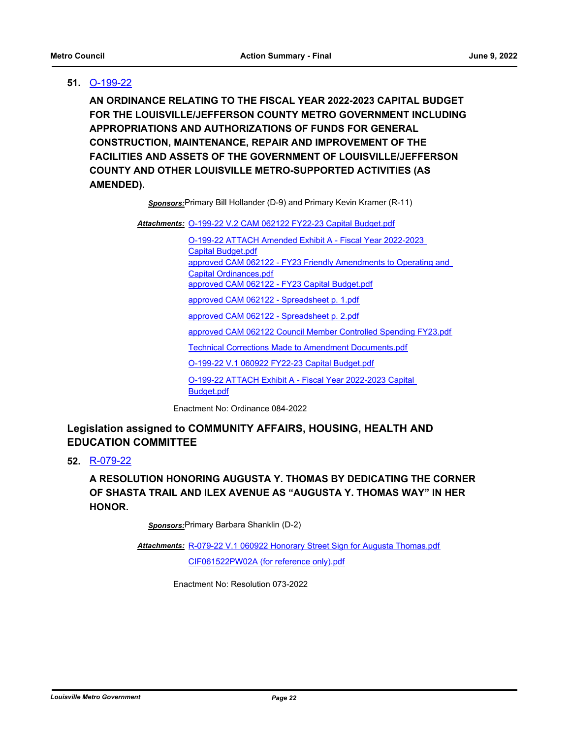# **51.** [O-199-22](http://louisville.legistar.com/gateway.aspx?m=l&id=/matter.aspx?key=60689)

**AN ORDINANCE RELATING TO THE FISCAL YEAR 2022-2023 CAPITAL BUDGET FOR THE LOUISVILLE/JEFFERSON COUNTY METRO GOVERNMENT INCLUDING APPROPRIATIONS AND AUTHORIZATIONS OF FUNDS FOR GENERAL CONSTRUCTION, MAINTENANCE, REPAIR AND IMPROVEMENT OF THE FACILITIES AND ASSETS OF THE GOVERNMENT OF LOUISVILLE/JEFFERSON COUNTY AND OTHER LOUISVILLE METRO-SUPPORTED ACTIVITIES (AS AMENDED).**

*Sponsors:*Primary Bill Hollander (D-9) and Primary Kevin Kramer (R-11)

Attachments: [O-199-22 V.2 CAM 062122 FY22-23 Capital Budget.pdf](http://louisville.legistar.com/gateway.aspx?M=F&ID=1a2180eb-f0dd-4941-98ee-aa8054db381f.pdf)

[O-199-22 ATTACH Amended Exhibit A - Fiscal Year 2022-2023](http://louisville.legistar.com/gateway.aspx?M=F&ID=5fa578ad-bfc2-4c03-b5a9-94ca9af2eb5f.pdf)  Capital Budget.pdf [approved CAM 062122 - FY23 Friendly Amendments to Operating and](http://louisville.legistar.com/gateway.aspx?M=F&ID=8d1a149c-9570-49dc-a8c0-067880c574da.pdf)  Capital Ordinances.pdf [approved CAM 062122 - FY23 Capital Budget.pdf](http://louisville.legistar.com/gateway.aspx?M=F&ID=6fc29c93-8757-4acb-a58f-2826a9d50a85.pdf) [approved CAM 062122 - Spreadsheet p. 1.pdf](http://louisville.legistar.com/gateway.aspx?M=F&ID=42561a2e-171c-4856-97a8-bc20f33eda7d.pdf) [approved CAM 062122 - Spreadsheet p. 2.pdf](http://louisville.legistar.com/gateway.aspx?M=F&ID=03ac7bca-4066-4797-8e5d-f137b28572b9.pdf) [approved CAM 062122 Council Member Controlled Spending FY23.pdf](http://louisville.legistar.com/gateway.aspx?M=F&ID=6cb8b6f7-b66d-4bfb-9ce9-821c8361abca.pdf) [Technical Corrections Made to Amendment Documents.pdf](http://louisville.legistar.com/gateway.aspx?M=F&ID=e6373915-dce3-4a83-b37d-c93658912161.pdf) [O-199-22 V.1 060922 FY22-23 Capital Budget.pdf](http://louisville.legistar.com/gateway.aspx?M=F&ID=ae8f67e1-1eb4-4ece-af7d-45de787f8ede.pdf) [O-199-22 ATTACH Exhibit A - Fiscal Year 2022-2023 Capital](http://louisville.legistar.com/gateway.aspx?M=F&ID=f75b6e71-e82f-419a-aa56-5ed22f640877.pdf) 

Budget.pdf

Enactment No: Ordinance 084-2022

# **Legislation assigned to COMMUNITY AFFAIRS, HOUSING, HEALTH AND EDUCATION COMMITTEE**

### **52.** [R-079-22](http://louisville.legistar.com/gateway.aspx?m=l&id=/matter.aspx?key=60661)

**A RESOLUTION HONORING AUGUSTA Y. THOMAS BY DEDICATING THE CORNER OF SHASTA TRAIL AND ILEX AVENUE AS "AUGUSTA Y. THOMAS WAY" IN HER HONOR.**

*Sponsors:*Primary Barbara Shanklin (D-2)

<u>Attachments: [R-079-22 V.1 060922 Honorary Street Sign for Augusta Thomas.pdf](http://louisville.legistar.com/gateway.aspx?M=F&ID=624a6aa9-2d0d-4ba7-92e1-99a1eeba7ce2.pdf)</u> [CIF061522PW02A \(for reference only\).pdf](http://louisville.legistar.com/gateway.aspx?M=F&ID=eebb5dcd-26f1-4148-b91c-621f4fa078b3.pdf)

Enactment No: Resolution 073-2022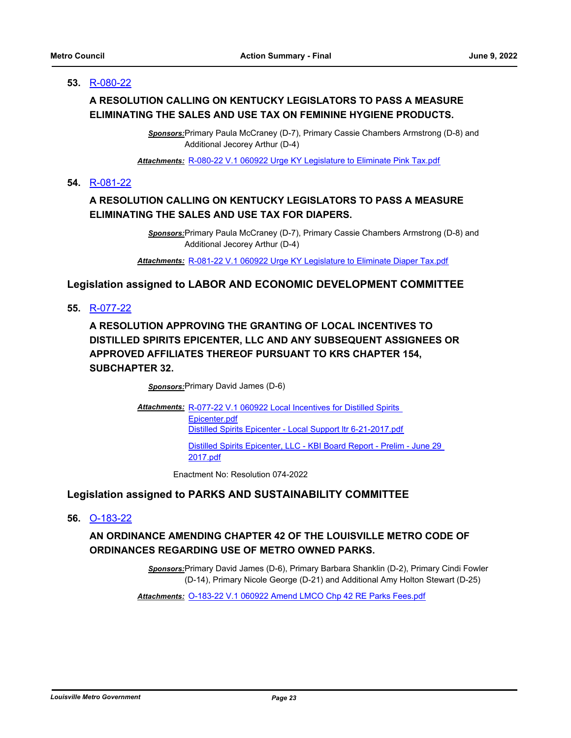### **53.** [R-080-22](http://louisville.legistar.com/gateway.aspx?m=l&id=/matter.aspx?key=60673)

# **A RESOLUTION CALLING ON KENTUCKY LEGISLATORS TO PASS A MEASURE ELIMINATING THE SALES AND USE TAX ON FEMININE HYGIENE PRODUCTS.**

*Sponsors:*Primary Paula McCraney (D-7), Primary Cassie Chambers Armstrong (D-8) and Additional Jecorey Arthur (D-4)

*Attachments:* [R-080-22 V.1 060922 Urge KY Legislature to Eliminate Pink Tax.pdf](http://louisville.legistar.com/gateway.aspx?M=F&ID=f424c504-e78b-40ef-bfa7-654c8c85fee7.pdf)

#### **54.** [R-081-22](http://louisville.legistar.com/gateway.aspx?m=l&id=/matter.aspx?key=60674)

# **A RESOLUTION CALLING ON KENTUCKY LEGISLATORS TO PASS A MEASURE ELIMINATING THE SALES AND USE TAX FOR DIAPERS.**

*Sponsors:*Primary Paula McCraney (D-7), Primary Cassie Chambers Armstrong (D-8) and Additional Jecorey Arthur (D-4)

*Attachments:* [R-081-22 V.1 060922 Urge KY Legislature to Eliminate Diaper Tax.pdf](http://louisville.legistar.com/gateway.aspx?M=F&ID=8267ff70-a806-4e01-b848-1c0308117a81.pdf)

### **Legislation assigned to LABOR AND ECONOMIC DEVELOPMENT COMMITTEE**

**55.** [R-077-22](http://louisville.legistar.com/gateway.aspx?m=l&id=/matter.aspx?key=60373)

**A RESOLUTION APPROVING THE GRANTING OF LOCAL INCENTIVES TO DISTILLED SPIRITS EPICENTER, LLC AND ANY SUBSEQUENT ASSIGNEES OR APPROVED AFFILIATES THEREOF PURSUANT TO KRS CHAPTER 154, SUBCHAPTER 32.**

*Sponsors:*Primary David James (D-6)

Attachments: R-077-22 V.1 060922 Local Incentives for Distilled Spirits Epicenter.pdf [Distilled Spirits Epicenter - Local Support ltr 6-21-2017.pdf](http://louisville.legistar.com/gateway.aspx?M=F&ID=38f644a7-889e-4774-924f-62913d819869.pdf) [Distilled Spirits Epicenter, LLC - KBI Board Report - Prelim - June 29](http://louisville.legistar.com/gateway.aspx?M=F&ID=9249f598-fe99-4137-90d3-900a851ec1aa.pdf)  2017.pdf

Enactment No: Resolution 074-2022

# **Legislation assigned to PARKS AND SUSTAINABILITY COMMITTEE**

**56.** [O-183-22](http://louisville.legistar.com/gateway.aspx?m=l&id=/matter.aspx?key=60375)

# **AN ORDINANCE AMENDING CHAPTER 42 OF THE LOUISVILLE METRO CODE OF ORDINANCES REGARDING USE OF METRO OWNED PARKS.**

*Sponsors:*Primary David James (D-6), Primary Barbara Shanklin (D-2), Primary Cindi Fowler (D-14), Primary Nicole George (D-21) and Additional Amy Holton Stewart (D-25)

*Attachments:* [O-183-22 V.1 060922 Amend LMCO Chp 42 RE Parks Fees.pdf](http://louisville.legistar.com/gateway.aspx?M=F&ID=89a83e31-c389-4d59-994e-f236869d4be5.pdf)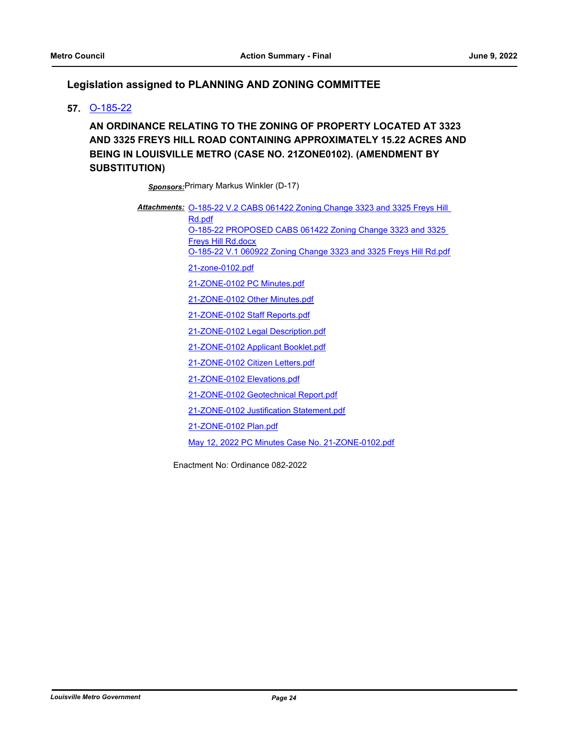# **Legislation assigned to PLANNING AND ZONING COMMITTEE**

### **57.** [O-185-22](http://louisville.legistar.com/gateway.aspx?m=l&id=/matter.aspx?key=60379)

**AN ORDINANCE RELATING TO THE ZONING OF PROPERTY LOCATED AT 3323 AND 3325 FREYS HILL ROAD CONTAINING APPROXIMATELY 15.22 ACRES AND BEING IN LOUISVILLE METRO (CASE NO. 21ZONE0102). (AMENDMENT BY SUBSTITUTION)**

*Sponsors:*Primary Markus Winkler (D-17)

Attachments: **O-185-22 V.2 CABS 061422 Zoning Change 3323 and 3325 Freys Hill** Rd.pdf [O-185-22 PROPOSED CABS 061422 Zoning Change 3323 and 3325](http://louisville.legistar.com/gateway.aspx?M=F&ID=fdead144-0802-4dc9-807d-ed1f67ad7488.docx)  Freys Hill Rd.docx [O-185-22 V.1 060922 Zoning Change 3323 and 3325 Freys Hill Rd.pdf](http://louisville.legistar.com/gateway.aspx?M=F&ID=1504c444-fbe8-4daa-b8e9-ed7be68da526.pdf) [21-zone-0102.pdf](http://louisville.legistar.com/gateway.aspx?M=F&ID=5a912107-86c2-4c8d-befd-7d5da835fff6.pdf) [21-ZONE-0102 PC Minutes.pdf](http://louisville.legistar.com/gateway.aspx?M=F&ID=12ec4d1e-d551-4928-a366-de49cd90ad5f.pdf) [21-ZONE-0102 Other Minutes.pdf](http://louisville.legistar.com/gateway.aspx?M=F&ID=895ac4b2-36aa-41da-ade3-647b226f5d7f.pdf) [21-ZONE-0102 Staff Reports.pdf](http://louisville.legistar.com/gateway.aspx?M=F&ID=6bf17e5c-22be-475d-8831-a09237ee2b47.pdf) [21-ZONE-0102 Legal Description.pdf](http://louisville.legistar.com/gateway.aspx?M=F&ID=f5bdbdf1-b62c-4b29-9c4c-3a3fc451082a.pdf) [21-ZONE-0102 Applicant Booklet.pdf](http://louisville.legistar.com/gateway.aspx?M=F&ID=6e11d48d-0bc1-489f-bea4-1be92faed782.pdf) [21-ZONE-0102 Citizen Letters.pdf](http://louisville.legistar.com/gateway.aspx?M=F&ID=1314052f-ccb8-4d71-b075-04ec9762661a.pdf) [21-ZONE-0102 Elevations.pdf](http://louisville.legistar.com/gateway.aspx?M=F&ID=b263b6b2-122e-4c50-ac78-95f1979a39f0.pdf) [21-ZONE-0102 Geotechnical Report.pdf](http://louisville.legistar.com/gateway.aspx?M=F&ID=74518cd4-9fae-487b-81cf-9628db6c452c.pdf) [21-ZONE-0102 Justification Statement.pdf](http://louisville.legistar.com/gateway.aspx?M=F&ID=37f8b81e-6e52-4a60-8287-dafd72aeef53.pdf) [21-ZONE-0102 Plan.pdf](http://louisville.legistar.com/gateway.aspx?M=F&ID=00ad07a9-4da9-4be9-bcc2-73a5b5651003.pdf) [May 12, 2022 PC Minutes Case No. 21-ZONE-0102.pdf](http://louisville.legistar.com/gateway.aspx?M=F&ID=e71092c6-9c1a-4b6a-a978-8f1d43e6d00e.pdf)

Enactment No: Ordinance 082-2022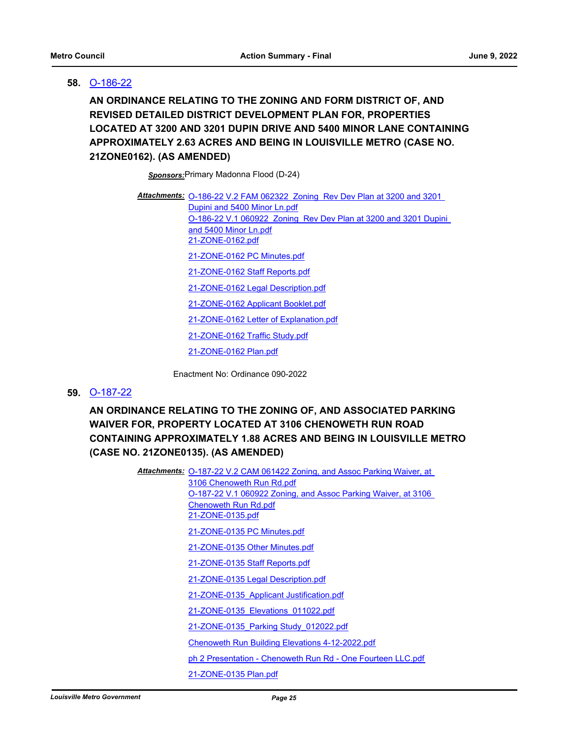### **58.** [O-186-22](http://louisville.legistar.com/gateway.aspx?m=l&id=/matter.aspx?key=60380)

**AN ORDINANCE RELATING TO THE ZONING AND FORM DISTRICT OF, AND REVISED DETAILED DISTRICT DEVELOPMENT PLAN FOR, PROPERTIES LOCATED AT 3200 AND 3201 DUPIN DRIVE AND 5400 MINOR LANE CONTAINING APPROXIMATELY 2.63 ACRES AND BEING IN LOUISVILLE METRO (CASE NO. 21ZONE0162). (AS AMENDED)**

*Sponsors:*Primary Madonna Flood (D-24)

Attachments: **O-186-22 V.2 FAM 062322 Zoning Rev Dev Plan at 3200 and 3201** Dupini and 5400 Minor Ln.pdf [O-186-22 V.1 060922 Zoning Rev Dev Plan at 3200 and 3201 Dupini](http://louisville.legistar.com/gateway.aspx?M=F&ID=17709819-a0ce-41dd-9516-f4aa4db04e15.pdf)  and 5400 Minor Ln.pdf [21-ZONE-0162.pdf](http://louisville.legistar.com/gateway.aspx?M=F&ID=b4fa7091-4e1d-47b0-a389-66fbdfd18300.pdf) [21-ZONE-0162 PC Minutes.pdf](http://louisville.legistar.com/gateway.aspx?M=F&ID=04454aba-83ea-4567-b182-f7dc1dda4bee.pdf) [21-ZONE-0162 Staff Reports.pdf](http://louisville.legistar.com/gateway.aspx?M=F&ID=80e34bd0-8c9b-474e-8005-a2167b409e79.pdf) [21-ZONE-0162 Legal Description.pdf](http://louisville.legistar.com/gateway.aspx?M=F&ID=cce1ebd6-67a6-4ee7-a637-7419d7f4cc1f.pdf) [21-ZONE-0162 Applicant Booklet.pdf](http://louisville.legistar.com/gateway.aspx?M=F&ID=e3d9a203-4bdd-4d06-aaf6-48b52c85af22.pdf) [21-ZONE-0162 Letter of Explanation.pdf](http://louisville.legistar.com/gateway.aspx?M=F&ID=374004f2-bb99-479f-a510-3736234996b1.pdf) [21-ZONE-0162 Traffic Study.pdf](http://louisville.legistar.com/gateway.aspx?M=F&ID=8d2ec7dd-ff88-4f9f-aa6a-cfbe2330f8c9.pdf) [21-ZONE-0162 Plan.pdf](http://louisville.legistar.com/gateway.aspx?M=F&ID=0f6aedec-b0b3-4c6d-ba78-2d24802b6117.pdf)

Enactment No: Ordinance 090-2022

#### **59.** [O-187-22](http://louisville.legistar.com/gateway.aspx?m=l&id=/matter.aspx?key=60381)

**AN ORDINANCE RELATING TO THE ZONING OF, AND ASSOCIATED PARKING WAIVER FOR, PROPERTY LOCATED AT 3106 CHENOWETH RUN ROAD CONTAINING APPROXIMATELY 1.88 ACRES AND BEING IN LOUISVILLE METRO (CASE NO. 21ZONE0135). (AS AMENDED)**

> Attachments: **O-187-22 V.2 CAM 061422 Zoning, and Assoc Parking Waiver, at** 3106 Chenoweth Run Rd.pdf [O-187-22 V.1 060922 Zoning, and Assoc Parking Waiver, at 3106](http://louisville.legistar.com/gateway.aspx?M=F&ID=95449fcc-7e47-48b8-98e7-536ebfc791e2.pdf)  Chenoweth Run Rd.pdf [21-ZONE-0135.pdf](http://louisville.legistar.com/gateway.aspx?M=F&ID=5c7274f2-a661-4fdd-a4da-fab16a04ccc5.pdf) [21-ZONE-0135 PC Minutes.pdf](http://louisville.legistar.com/gateway.aspx?M=F&ID=76508506-71bb-485f-a955-604bc83b1515.pdf) [21-ZONE-0135 Other Minutes.pdf](http://louisville.legistar.com/gateway.aspx?M=F&ID=dd1ac152-2fd2-47ef-a9d8-6b276cdfe638.pdf) [21-ZONE-0135 Staff Reports.pdf](http://louisville.legistar.com/gateway.aspx?M=F&ID=bac6eac2-08d4-4e31-be86-90973053fd3a.pdf) [21-ZONE-0135 Legal Description.pdf](http://louisville.legistar.com/gateway.aspx?M=F&ID=21474721-f928-41c2-94cf-8c8cbadb7a50.pdf) [21-ZONE-0135\\_Applicant Justification.pdf](http://louisville.legistar.com/gateway.aspx?M=F&ID=c0706061-d62e-4a69-917a-f4dc9202c47b.pdf) [21-ZONE-0135\\_Elevations\\_011022.pdf](http://louisville.legistar.com/gateway.aspx?M=F&ID=055ede53-4ada-4e54-885c-1434dc4b8b1a.pdf) [21-ZONE-0135\\_Parking Study\\_012022.pdf](http://louisville.legistar.com/gateway.aspx?M=F&ID=29947828-075a-4b63-95be-85e4cb2b9e98.pdf) [Chenoweth Run Building Elevations 4-12-2022.pdf](http://louisville.legistar.com/gateway.aspx?M=F&ID=b0a8e7a2-2da5-4739-8684-e4d33af48d91.pdf) [ph 2 Presentation - Chenoweth Run Rd - One Fourteen LLC.pdf](http://louisville.legistar.com/gateway.aspx?M=F&ID=00dcb731-4db1-448b-98e0-e0dece3218c3.pdf) [21-ZONE-0135 Plan.pdf](http://louisville.legistar.com/gateway.aspx?M=F&ID=cb4b6188-770a-4bef-9300-5c6511d4f9e7.pdf)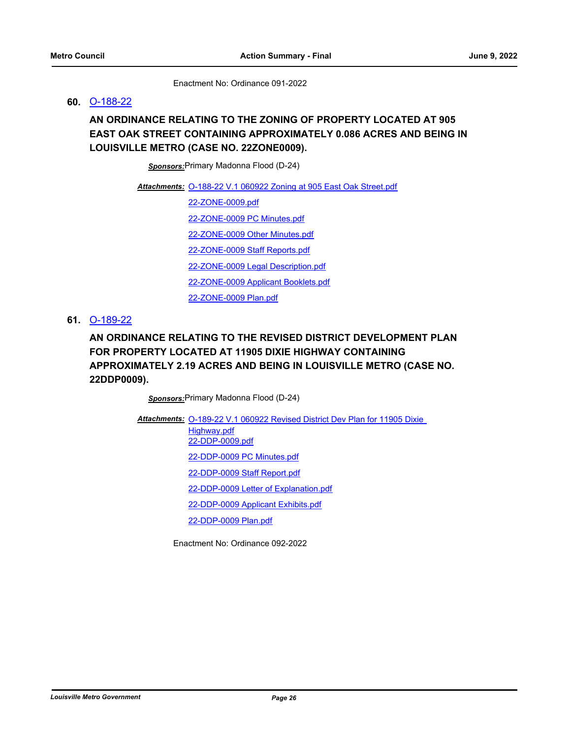Enactment No: Ordinance 091-2022

### **60.** [O-188-22](http://louisville.legistar.com/gateway.aspx?m=l&id=/matter.aspx?key=60382)

# **AN ORDINANCE RELATING TO THE ZONING OF PROPERTY LOCATED AT 905 EAST OAK STREET CONTAINING APPROXIMATELY 0.086 ACRES AND BEING IN LOUISVILLE METRO (CASE NO. 22ZONE0009).**

*Sponsors:*Primary Madonna Flood (D-24)

Attachments: [O-188-22 V.1 060922 Zoning at 905 East Oak Street.pdf](http://louisville.legistar.com/gateway.aspx?M=F&ID=d8420294-9868-473e-b40e-f82661c173bd.pdf)

[22-ZONE-0009.pdf](http://louisville.legistar.com/gateway.aspx?M=F&ID=ba7c131e-e272-46ed-aa8d-650eb0574ce7.pdf)

[22-ZONE-0009 PC Minutes.pdf](http://louisville.legistar.com/gateway.aspx?M=F&ID=f0131613-bec4-4d9c-9aee-77e3395e1e64.pdf)

[22-ZONE-0009 Other Minutes.pdf](http://louisville.legistar.com/gateway.aspx?M=F&ID=b55394d2-39c7-4602-b37f-9fe1c444eb17.pdf)

[22-ZONE-0009 Staff Reports.pdf](http://louisville.legistar.com/gateway.aspx?M=F&ID=a0786a0e-4ad6-4784-af14-b8afcc293fcc.pdf)

[22-ZONE-0009 Legal Description.pdf](http://louisville.legistar.com/gateway.aspx?M=F&ID=d8e5ff4e-a368-4bb7-be01-6ac31c42f602.pdf)

[22-ZONE-0009 Applicant Booklets.pdf](http://louisville.legistar.com/gateway.aspx?M=F&ID=9a998688-db0d-4ef4-8636-e93db0554a44.pdf)

[22-ZONE-0009 Plan.pdf](http://louisville.legistar.com/gateway.aspx?M=F&ID=fb57cc00-c167-4558-817e-31e074b2bba1.pdf)

### **61.** [O-189-22](http://louisville.legistar.com/gateway.aspx?m=l&id=/matter.aspx?key=60383)

# **AN ORDINANCE RELATING TO THE REVISED DISTRICT DEVELOPMENT PLAN FOR PROPERTY LOCATED AT 11905 DIXIE HIGHWAY CONTAINING APPROXIMATELY 2.19 ACRES AND BEING IN LOUISVILLE METRO (CASE NO. 22DDP0009).**

*Sponsors:*Primary Madonna Flood (D-24)

Attachments: O-189-22 V.1 060922 Revised District Dev Plan for 11905 Dixie Highway.pdf [22-DDP-0009.pdf](http://louisville.legistar.com/gateway.aspx?M=F&ID=d975be51-d54e-4908-ae7b-b735d4147308.pdf) [22-DDP-0009 PC Minutes.pdf](http://louisville.legistar.com/gateway.aspx?M=F&ID=b5af49a5-7e7d-4981-9c33-a83def4cb5c7.pdf) [22-DDP-0009 Staff Report.pdf](http://louisville.legistar.com/gateway.aspx?M=F&ID=20d3e48f-6890-4649-a767-123c38748286.pdf) [22-DDP-0009 Letter of Explanation.pdf](http://louisville.legistar.com/gateway.aspx?M=F&ID=010ad2e7-b563-4030-b663-2e2dd6871b83.pdf) [22-DDP-0009 Applicant Exhibits.pdf](http://louisville.legistar.com/gateway.aspx?M=F&ID=48df9723-1574-4589-a937-ef53e5e8fa6e.pdf) [22-DDP-0009 Plan.pdf](http://louisville.legistar.com/gateway.aspx?M=F&ID=9039f559-5b59-480b-a485-73fa1c7fc7f0.pdf)

Enactment No: Ordinance 092-2022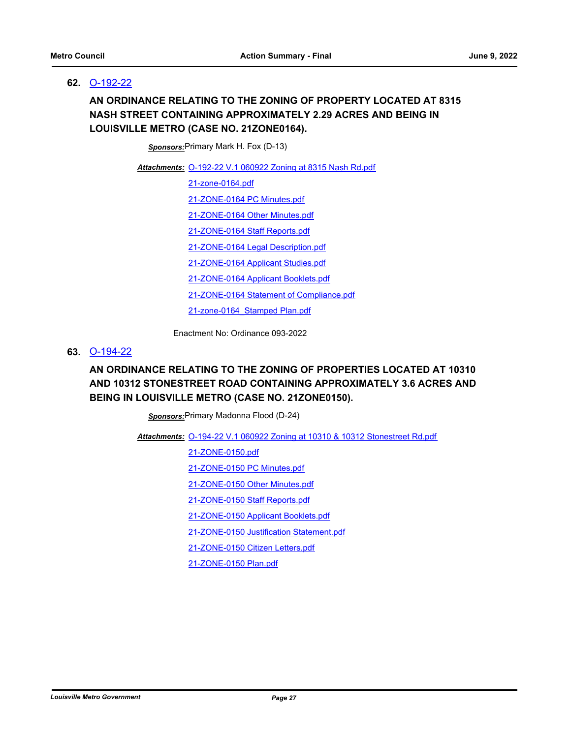### **62.** [O-192-22](http://louisville.legistar.com/gateway.aspx?m=l&id=/matter.aspx?key=60396)

# **AN ORDINANCE RELATING TO THE ZONING OF PROPERTY LOCATED AT 8315 NASH STREET CONTAINING APPROXIMATELY 2.29 ACRES AND BEING IN LOUISVILLE METRO (CASE NO. 21ZONE0164).**

*Sponsors:*Primary Mark H. Fox (D-13)

[O-192-22 V.1 060922 Zoning at 8315 Nash Rd.pdf](http://louisville.legistar.com/gateway.aspx?M=F&ID=09f8058d-24a5-4507-b9b7-ad65bf8e2522.pdf) *Attachments:*

[21-zone-0164.pdf](http://louisville.legistar.com/gateway.aspx?M=F&ID=6de84f73-4d39-4713-9427-b2efdcf89e35.pdf)

[21-ZONE-0164 PC Minutes.pdf](http://louisville.legistar.com/gateway.aspx?M=F&ID=ecdb9f8a-3c94-43f4-b760-f92e695dc0dd.pdf)

[21-ZONE-0164 Other Minutes.pdf](http://louisville.legistar.com/gateway.aspx?M=F&ID=3e8d97b4-d5e0-4cd0-9cd8-de0e8ae7472a.pdf)

[21-ZONE-0164 Staff Reports.pdf](http://louisville.legistar.com/gateway.aspx?M=F&ID=028afce5-1702-43a6-aa0f-658c7498f871.pdf)

[21-ZONE-0164 Legal Description.pdf](http://louisville.legistar.com/gateway.aspx?M=F&ID=46a3683e-f94e-4718-a047-59e7aa16bbea.pdf)

[21-ZONE-0164 Applicant Studies.pdf](http://louisville.legistar.com/gateway.aspx?M=F&ID=8fb54a0d-33b4-45b0-be3a-026e21b44483.pdf)

[21-ZONE-0164 Applicant Booklets.pdf](http://louisville.legistar.com/gateway.aspx?M=F&ID=74d599ba-9daa-4246-8286-39b16f584f77.pdf)

[21-ZONE-0164 Statement of Compliance.pdf](http://louisville.legistar.com/gateway.aspx?M=F&ID=42b4ee7a-21bf-4648-a82b-033f4315105e.pdf)

[21-zone-0164\\_Stamped Plan.pdf](http://louisville.legistar.com/gateway.aspx?M=F&ID=290d00b8-a59f-47a2-b5a7-feb80689a808.pdf)

Enactment No: Ordinance 093-2022

### **63.** [O-194-22](http://louisville.legistar.com/gateway.aspx?m=l&id=/matter.aspx?key=60400)

# **AN ORDINANCE RELATING TO THE ZONING OF PROPERTIES LOCATED AT 10310 AND 10312 STONESTREET ROAD CONTAINING APPROXIMATELY 3.6 ACRES AND BEING IN LOUISVILLE METRO (CASE NO. 21ZONE0150).**

*Sponsors:*Primary Madonna Flood (D-24)

[O-194-22 V.1 060922 Zoning at 10310 & 10312 Stonestreet Rd.pdf](http://louisville.legistar.com/gateway.aspx?M=F&ID=e52b594a-ddfc-4125-9a49-d694fdd8165c.pdf) *Attachments:*

[21-ZONE-0150.pdf](http://louisville.legistar.com/gateway.aspx?M=F&ID=a5f1c1f2-d356-4978-9fc4-3a1764cb31d4.pdf)

[21-ZONE-0150 PC Minutes.pdf](http://louisville.legistar.com/gateway.aspx?M=F&ID=f27d6444-9f4a-438b-891a-409202c9274f.pdf)

[21-ZONE-0150 Other Minutes.pdf](http://louisville.legistar.com/gateway.aspx?M=F&ID=69089788-1e70-41c8-a342-0ece5c1a832a.pdf)

[21-ZONE-0150 Staff Reports.pdf](http://louisville.legistar.com/gateway.aspx?M=F&ID=3d99d4b8-28d4-4c80-b2b2-a9dc4d7e6cdc.pdf)

[21-ZONE-0150 Applicant Booklets.pdf](http://louisville.legistar.com/gateway.aspx?M=F&ID=39d6a967-99da-4882-a043-64586a00f882.pdf)

[21-ZONE-0150 Justification Statement.pdf](http://louisville.legistar.com/gateway.aspx?M=F&ID=c40398a7-a38a-438c-aa4d-7f713226196a.pdf)

[21-ZONE-0150 Citizen Letters.pdf](http://louisville.legistar.com/gateway.aspx?M=F&ID=bea687c3-6add-461b-a6da-65e3018da4ef.pdf)

[21-ZONE-0150 Plan.pdf](http://louisville.legistar.com/gateway.aspx?M=F&ID=85f8d3bd-474d-4f85-bf98-1b4e638f9ea1.pdf)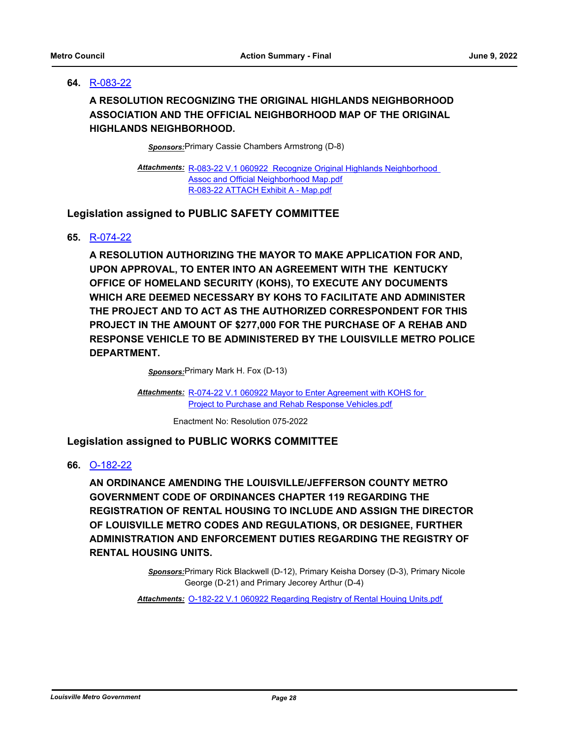# **64.** [R-083-22](http://louisville.legistar.com/gateway.aspx?m=l&id=/matter.aspx?key=60684)

# **A RESOLUTION RECOGNIZING THE ORIGINAL HIGHLANDS NEIGHBORHOOD ASSOCIATION AND THE OFFICIAL NEIGHBORHOOD MAP OF THE ORIGINAL HIGHLANDS NEIGHBORHOOD.**

*Sponsors:*Primary Cassie Chambers Armstrong (D-8)

Attachments: R-083-22 V.1 060922 Recognize Original Highlands Neighborhood Assoc and Official Neighborhood Map.pdf [R-083-22 ATTACH Exhibit A - Map.pdf](http://louisville.legistar.com/gateway.aspx?M=F&ID=0a4a1a0b-2e3c-4310-a901-a18e1501716f.pdf)

# **Legislation assigned to PUBLIC SAFETY COMMITTEE**

### **65.** [R-074-22](http://louisville.legistar.com/gateway.aspx?m=l&id=/matter.aspx?key=60354)

**A RESOLUTION AUTHORIZING THE MAYOR TO MAKE APPLICATION FOR AND, UPON APPROVAL, TO ENTER INTO AN AGREEMENT WITH THE KENTUCKY OFFICE OF HOMELAND SECURITY (KOHS), TO EXECUTE ANY DOCUMENTS WHICH ARE DEEMED NECESSARY BY KOHS TO FACILITATE AND ADMINISTER THE PROJECT AND TO ACT AS THE AUTHORIZED CORRESPONDENT FOR THIS PROJECT IN THE AMOUNT OF \$277,000 FOR THE PURCHASE OF A REHAB AND RESPONSE VEHICLE TO BE ADMINISTERED BY THE LOUISVILLE METRO POLICE DEPARTMENT.**

*Sponsors:*Primary Mark H. Fox (D-13)

Attachments: R-074-22 V.1 060922 Mayor to Enter Agreement with KOHS for Project to Purchase and Rehab Response Vehicles.pdf

Enactment No: Resolution 075-2022

# **Legislation assigned to PUBLIC WORKS COMMITTEE**

**66.** [O-182-22](http://louisville.legistar.com/gateway.aspx?m=l&id=/matter.aspx?key=60374)

**AN ORDINANCE AMENDING THE LOUISVILLE/JEFFERSON COUNTY METRO GOVERNMENT CODE OF ORDINANCES CHAPTER 119 REGARDING THE REGISTRATION OF RENTAL HOUSING TO INCLUDE AND ASSIGN THE DIRECTOR OF LOUISVILLE METRO CODES AND REGULATIONS, OR DESIGNEE, FURTHER ADMINISTRATION AND ENFORCEMENT DUTIES REGARDING THE REGISTRY OF RENTAL HOUSING UNITS.**

> *Sponsors:*Primary Rick Blackwell (D-12), Primary Keisha Dorsey (D-3), Primary Nicole George (D-21) and Primary Jecorey Arthur (D-4)

*Attachments:* [O-182-22 V.1 060922 Regarding Registry of Rental Houing Units.pdf](http://louisville.legistar.com/gateway.aspx?M=F&ID=c30411b1-f754-4c89-8ad4-5e95a981ace4.pdf)